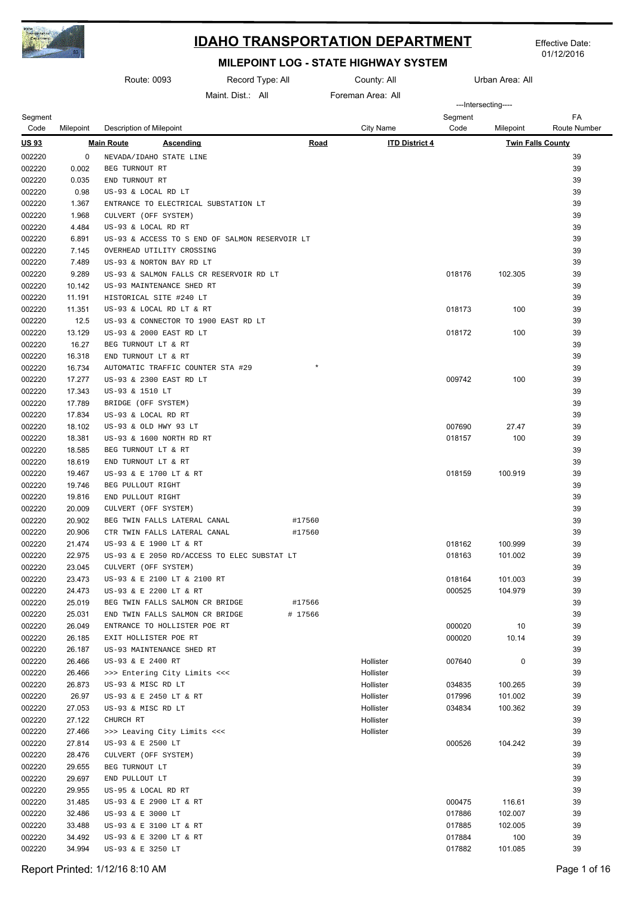

Effective Date: 01/12/2016

|                  | Route: 0093      |                                                                             |                 | Record Type: All<br>County: All |                       | Urban Area: All  |                          |                     |
|------------------|------------------|-----------------------------------------------------------------------------|-----------------|---------------------------------|-----------------------|------------------|--------------------------|---------------------|
|                  |                  |                                                                             | Maint Dist: All |                                 | Foreman Area: All     |                  |                          |                     |
| Segment          |                  |                                                                             |                 |                                 |                       | Segment          | ---Intersecting----      | FA                  |
| Code             | Milepoint        | Description of Milepoint                                                    |                 |                                 | City Name             | Code             | Milepoint                | <b>Route Number</b> |
| <u>US 93</u>     |                  | <b>Main Route</b><br><b>Ascending</b>                                       |                 | <b>Road</b>                     | <b>ITD District 4</b> |                  | <b>Twin Falls County</b> |                     |
| 002220           | 0                | NEVADA/IDAHO STATE LINE                                                     |                 |                                 |                       |                  |                          | 39                  |
| 002220           | 0.002            | BEG TURNOUT RT                                                              |                 |                                 |                       |                  |                          | 39                  |
| 002220           | 0.035            | END TURNOUT RT                                                              |                 |                                 |                       |                  |                          | 39                  |
| 002220           | 0.98             | US-93 & LOCAL RD LT                                                         |                 |                                 |                       |                  |                          | 39                  |
| 002220           | 1.367            | ENTRANCE TO ELECTRICAL SUBSTATION LT                                        |                 |                                 |                       |                  |                          | 39                  |
| 002220           | 1.968            | CULVERT (OFF SYSTEM)                                                        |                 |                                 |                       |                  |                          | 39                  |
| 002220           | 4.484            | US-93 & LOCAL RD RT                                                         |                 |                                 |                       |                  |                          | 39                  |
| 002220<br>002220 | 6.891<br>7.145   | US-93 & ACCESS TO S END OF SALMON RESERVOIR LT<br>OVERHEAD UTILITY CROSSING |                 |                                 |                       |                  |                          | 39<br>39            |
| 002220           | 7.489            | US-93 & NORTON BAY RD LT                                                    |                 |                                 |                       |                  |                          | 39                  |
| 002220           | 9.289            | US-93 & SALMON FALLS CR RESERVOIR RD LT                                     |                 |                                 |                       | 018176           | 102.305                  | 39                  |
| 002220           | 10.142           | US-93 MAINTENANCE SHED RT                                                   |                 |                                 |                       |                  |                          | 39                  |
| 002220           | 11.191           | HISTORICAL SITE #240 LT                                                     |                 |                                 |                       |                  |                          | 39                  |
| 002220           | 11.351           | US-93 & LOCAL RD LT & RT                                                    |                 |                                 |                       | 018173           | 100                      | 39                  |
| 002220           | 12.5             | US-93 & CONNECTOR TO 1900 EAST RD LT                                        |                 |                                 |                       |                  |                          | 39                  |
| 002220           | 13.129           | US-93 & 2000 EAST RD LT                                                     |                 |                                 |                       | 018172           | 100                      | 39                  |
| 002220           | 16.27            | BEG TURNOUT LT & RT                                                         |                 |                                 |                       |                  |                          | 39                  |
| 002220           | 16.318           | END TURNOUT LT & RT                                                         |                 |                                 |                       |                  |                          | 39                  |
| 002220           | 16.734           | AUTOMATIC TRAFFIC COUNTER STA #29                                           |                 | $\star$                         |                       |                  |                          | 39                  |
| 002220           | 17.277           | US-93 & 2300 EAST RD LT                                                     |                 |                                 |                       | 009742           | 100                      | 39                  |
| 002220           | 17.343           | US-93 & 1510 LT                                                             |                 |                                 |                       |                  |                          | 39                  |
| 002220           | 17.789           | BRIDGE (OFF SYSTEM)                                                         |                 |                                 |                       |                  |                          | 39                  |
| 002220<br>002220 | 17.834<br>18.102 | US-93 & LOCAL RD RT<br>US-93 & OLD HWY 93 LT                                |                 |                                 |                       | 007690           | 27.47                    | 39<br>39            |
| 002220           | 18.381           | US-93 & 1600 NORTH RD RT                                                    |                 |                                 |                       | 018157           | 100                      | 39                  |
| 002220           | 18.585           | BEG TURNOUT LT & RT                                                         |                 |                                 |                       |                  |                          | 39                  |
| 002220           | 18.619           | END TURNOUT LT & RT                                                         |                 |                                 |                       |                  |                          | 39                  |
| 002220           | 19.467           | US-93 & E 1700 LT & RT                                                      |                 |                                 |                       | 018159           | 100.919                  | 39                  |
| 002220           | 19.746           | BEG PULLOUT RIGHT                                                           |                 |                                 |                       |                  |                          | 39                  |
| 002220           | 19.816           | END PULLOUT RIGHT                                                           |                 |                                 |                       |                  |                          | 39                  |
| 002220           | 20.009           | CULVERT (OFF SYSTEM)                                                        |                 |                                 |                       |                  |                          | 39                  |
| 002220           | 20.902           | BEG TWIN FALLS LATERAL CANAL                                                |                 | #17560                          |                       |                  |                          | 39                  |
| 002220           | 20.906           | CTR TWIN FALLS LATERAL CANAL                                                |                 | #17560                          |                       |                  |                          | 39                  |
| 002220           | 21.474           | US-93 & E 1900 LT & RT                                                      |                 |                                 |                       | 018162           | 100.999                  | 39                  |
| 002220           | 22.975           | US-93 & E 2050 RD/ACCESS TO ELEC SUBSTAT LT                                 |                 |                                 |                       | 018163           | 101.002                  | 39                  |
| 002220           | 23.045<br>23.473 | CULVERT (OFF SYSTEM)                                                        |                 |                                 |                       |                  | 101.003                  | 39<br>39            |
| 002220<br>002220 | 24.473           | US-93 & E 2100 LT & 2100 RT<br>US-93 & E 2200 LT & RT                       |                 |                                 |                       | 018164<br>000525 | 104.979                  | 39                  |
| 002220           | 25.019           | BEG TWIN FALLS SALMON CR BRIDGE                                             |                 | #17566                          |                       |                  |                          | 39                  |
| 002220           | 25.031           | END TWIN FALLS SALMON CR BRIDGE                                             |                 | # 17566                         |                       |                  |                          | 39                  |
| 002220           | 26.049           | ENTRANCE TO HOLLISTER POE RT                                                |                 |                                 |                       | 000020           | 10                       | 39                  |
| 002220           | 26.185           | EXIT HOLLISTER POE RT                                                       |                 |                                 |                       | 000020           | 10.14                    | 39                  |
| 002220           | 26.187           | US-93 MAINTENANCE SHED RT                                                   |                 |                                 |                       |                  |                          | 39                  |
| 002220           | 26.466           | US-93 & E 2400 RT                                                           |                 |                                 | Hollister             | 007640           | 0                        | 39                  |
| 002220           | 26.466           | >>> Entering City Limits <<<                                                |                 |                                 | Hollister             |                  |                          | 39                  |
| 002220           | 26.873           | US-93 & MISC RD LT                                                          |                 |                                 | Hollister             | 034835           | 100.265                  | 39                  |
| 002220           | 26.97            | US-93 & E 2450 LT & RT                                                      |                 |                                 | Hollister             | 017996           | 101.002                  | 39                  |
| 002220           | 27.053           | US-93 & MISC RD LT                                                          |                 |                                 | Hollister             | 034834           | 100.362                  | 39                  |
| 002220<br>002220 | 27.122           | CHURCH RT                                                                   |                 |                                 | Hollister             |                  |                          | 39<br>39            |
| 002220           | 27.466<br>27.814 | >>> Leaving City Limits <<<<br>US-93 & E 2500 LT                            |                 |                                 | Hollister             | 000526           | 104.242                  | 39                  |
| 002220           | 28.476           | CULVERT (OFF SYSTEM)                                                        |                 |                                 |                       |                  |                          | 39                  |
| 002220           | 29.655           | BEG TURNOUT LT                                                              |                 |                                 |                       |                  |                          | 39                  |
| 002220           | 29.697           | END PULLOUT LT                                                              |                 |                                 |                       |                  |                          | 39                  |
| 002220           | 29.955           | US-95 & LOCAL RD RT                                                         |                 |                                 |                       |                  |                          | 39                  |
| 002220           | 31.485           | US-93 & E 2900 LT & RT                                                      |                 |                                 |                       | 000475           | 116.61                   | 39                  |
| 002220           | 32.486           | US-93 & E 3000 LT                                                           |                 |                                 |                       | 017886           | 102.007                  | 39                  |
| 002220           | 33.488           | US-93 & E 3100 LT & RT                                                      |                 |                                 |                       | 017885           | 102.005                  | 39                  |
| 002220           | 34.492           | US-93 & E 3200 LT & RT                                                      |                 |                                 |                       | 017884           | 100                      | 39                  |
| 002220           | 34.994           | US-93 & E 3250 LT                                                           |                 |                                 |                       | 017882           | 101.085                  | 39                  |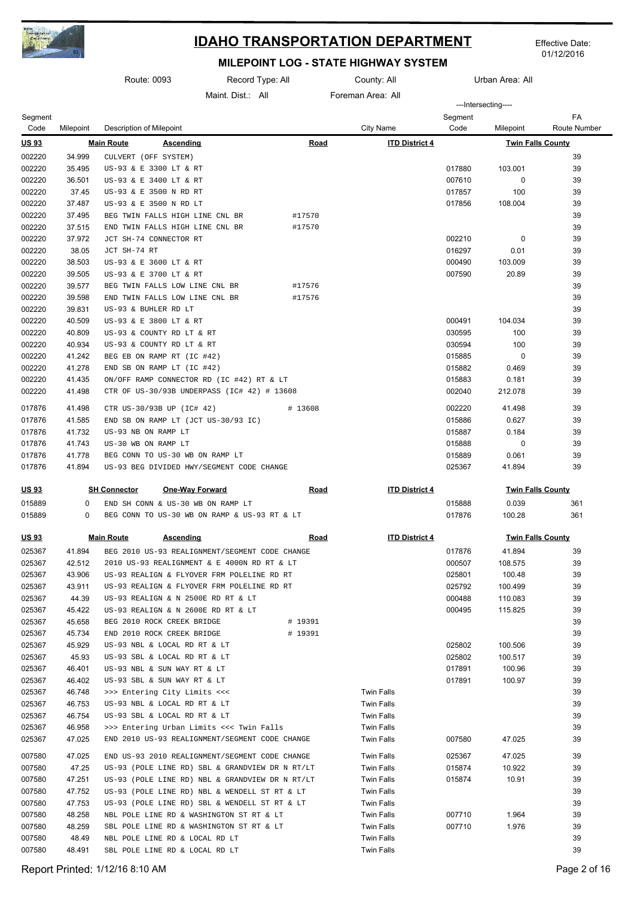

Effective Date: 01/12/2016

|                 |           | Route: 0093<br>Record Type: All                 |                        |             | County: All<br>Urban Area: All |                 |                          |                           |
|-----------------|-----------|-------------------------------------------------|------------------------|-------------|--------------------------------|-----------------|--------------------------|---------------------------|
|                 |           |                                                 | Maint Dist: All        |             | Foreman Area: All              |                 |                          |                           |
|                 |           |                                                 |                        |             |                                |                 | ---Intersecting----      |                           |
| Segment<br>Code | Milepoint | Description of Milepoint                        |                        |             | <b>City Name</b>               | Segment<br>Code | Milepoint                | FA<br><b>Route Number</b> |
| <u>US 93</u>    |           | <b>Main Route</b><br><u>Ascending</u>           |                        | <b>Road</b> | <b>ITD District 4</b>          |                 | <b>Twin Falls County</b> |                           |
| 002220          | 34.999    | CULVERT (OFF SYSTEM)                            |                        |             |                                |                 |                          | 39                        |
| 002220          | 35.495    | US-93 & E 3300 LT & RT                          |                        |             |                                | 017880          | 103.001                  | 39                        |
| 002220          | 36.501    | US-93 & E 3400 LT & RT                          |                        |             |                                | 007610          | 0                        | 39                        |
| 002220          | 37.45     | US-93 & E 3500 N RD RT                          |                        |             |                                | 017857          | 100                      | 39                        |
| 002220          | 37.487    | US-93 & E 3500 N RD LT                          |                        |             |                                | 017856          | 108.004                  | 39                        |
| 002220          | 37.495    | BEG TWIN FALLS HIGH LINE CNL BR                 |                        | #17570      |                                |                 |                          | 39                        |
| 002220          | 37.515    | END TWIN FALLS HIGH LINE CNL BR                 |                        | #17570      |                                |                 |                          | 39                        |
| 002220          | 37.972    | JCT SH-74 CONNECTOR RT                          |                        |             |                                | 002210          | 0                        | 39                        |
| 002220          | 38.05     | JCT SH-74 RT                                    |                        |             |                                | 016297          | 0.01                     | 39                        |
| 002220          | 38.503    | US-93 & E 3600 LT & RT                          |                        |             |                                | 000490          | 103.009                  | 39                        |
| 002220          | 39.505    | US-93 & E 3700 LT & RT                          |                        |             |                                | 007590          | 20.89                    | 39                        |
| 002220          | 39.577    | BEG TWIN FALLS LOW LINE CNL BR                  |                        | #17576      |                                |                 |                          | 39                        |
| 002220          | 39.598    | END TWIN FALLS LOW LINE CNL BR                  |                        | #17576      |                                |                 |                          | 39                        |
| 002220          | 39.831    | US-93 & BUHLER RD LT                            |                        |             |                                |                 |                          | 39                        |
| 002220          | 40.509    | US-93 & E 3800 LT & RT                          |                        |             |                                | 000491          | 104.034                  | 39                        |
| 002220          | 40.809    | US-93 & COUNTY RD LT & RT                       |                        |             |                                | 030595          | 100                      | 39                        |
| 002220          | 40.934    | US-93 & COUNTY RD LT & RT                       |                        |             |                                | 030594          | 100                      | 39                        |
| 002220          | 41.242    | BEG EB ON RAMP RT (IC #42)                      |                        |             |                                | 015885          | 0                        | 39                        |
| 002220          | 41.278    | END SB ON RAMP LT (IC #42)                      |                        |             |                                | 015882          | 0.469                    | 39                        |
| 002220          | 41.435    | ON/OFF RAMP CONNECTOR RD (IC #42) RT & LT       |                        |             |                                | 015883          | 0.181                    | 39                        |
| 002220          | 41.498    | CTR OF US-30/93B UNDERPASS (IC# 42) # 13608     |                        |             |                                | 002040          | 212.078                  | 39                        |
| 017876          | 41.498    | CTR US-30/93B UP (IC# 42)                       |                        | # 13608     |                                | 002220          | 41.498                   | 39                        |
| 017876          | 41.585    | END SB ON RAMP LT (JCT US-30/93 IC)             |                        |             |                                | 015886          | 0.627                    | 39                        |
| 017876          | 41.732    | US-93 NB ON RAMP LT                             |                        |             |                                | 015887          | 0.184                    | 39                        |
| 017876          | 41.743    | US-30 WB ON RAMP LT                             |                        |             |                                | 015888          | 0                        | 39                        |
| 017876          | 41.778    | BEG CONN TO US-30 WB ON RAMP LT                 |                        |             |                                | 015889          | 0.061                    | 39                        |
| 017876          | 41.894    | US-93 BEG DIVIDED HWY/SEGMENT CODE CHANGE       |                        |             |                                | 025367          | 41.894                   | 39                        |
| <u>US 93</u>    |           | <b>SH Connector</b>                             | <b>One-Way Forward</b> | <b>Road</b> | <b>ITD District 4</b>          |                 | <b>Twin Falls County</b> |                           |
| 015889          | 0         | END SH CONN & US-30 WB ON RAMP LT               |                        |             |                                | 015888          | 0.039                    | 361                       |
| 015889          | 0         | BEG CONN TO US-30 WB ON RAMP & US-93 RT & LT    |                        |             |                                | 017876          | 100.28                   | 361                       |
| <u>US 93</u>    |           | <b>Main Route</b><br><u>Ascending</u>           |                        | <u>Road</u> | <b>ITD District 4</b>          |                 | <b>Twin Falls County</b> |                           |
| 025367          | 41.894    | BEG 2010 US-93 REALIGNMENT/SEGMENT CODE CHANGE  |                        |             |                                | 017876          | 41.894                   | 39                        |
| 025367          | 42.512    | 2010 US-93 REALIGNMENT & E 4000N RD RT & LT     |                        |             |                                | 000507          | 108.575                  | 39                        |
| 025367          | 43.906    | US-93 REALIGN & FLYOVER FRM POLELINE RD RT      |                        |             |                                | 025801          | 100.48                   | 39                        |
| 025367          | 43.911    | US-93 REALIGN & FLYOVER FRM POLELINE RD RT      |                        |             |                                | 025792          | 100.499                  | 39                        |
| 025367          | 44.39     | US-93 REALIGN & N 2500E RD RT & LT              |                        |             |                                | 000488          | 110.083                  | 39                        |
| 025367          | 45.422    | US-93 REALIGN & N 2600E RD RT & LT              |                        |             |                                | 000495          | 115.825                  | 39                        |
| 025367          | 45.658    | BEG 2010 ROCK CREEK BRIDGE                      |                        | # 19391     |                                |                 |                          | 39                        |
| 025367          | 45.734    | END 2010 ROCK CREEK BRIDGE                      |                        | # 19391     |                                |                 |                          | 39                        |
| 025367          | 45.929    | US-93 NBL & LOCAL RD RT & LT                    |                        |             |                                | 025802          | 100.506                  | 39                        |
| 025367          | 45.93     | US-93 SBL & LOCAL RD RT & LT                    |                        |             |                                | 025802          | 100.517                  | 39                        |
| 025367          | 46.401    | US-93 NBL & SUN WAY RT & LT                     |                        |             |                                | 017891          | 100.96                   | 39                        |
| 025367          | 46.402    | US-93 SBL & SUN WAY RT & LT                     |                        |             |                                | 017891          | 100.97                   | 39                        |
| 025367          | 46.748    | >>> Entering City Limits <<<                    |                        |             | <b>Twin Falls</b>              |                 |                          | 39                        |
| 025367          | 46.753    | US-93 NBL & LOCAL RD RT & LT                    |                        |             | <b>Twin Falls</b>              |                 |                          | 39                        |
| 025367          | 46.754    | US-93 SBL & LOCAL RD RT & LT                    |                        |             | <b>Twin Falls</b>              |                 |                          | 39                        |
| 025367          | 46.958    | >>> Entering Urban Limits <<< Twin Falls        |                        |             | Twin Falls                     |                 |                          | 39                        |
| 025367          | 47.025    | END 2010 US-93 REALIGNMENT/SEGMENT CODE CHANGE  |                        |             | Twin Falls                     | 007580          | 47.025                   | 39                        |
| 007580          | 47.025    | END US-93 2010 REALIGNMENT/SEGMENT CODE CHANGE  |                        |             | <b>Twin Falls</b>              | 025367          | 47.025                   | 39                        |
| 007580          | 47.25     | US-93 (POLE LINE RD) SBL & GRANDVIEW DR N RT/LT |                        |             | <b>Twin Falls</b>              | 015874          | 10.922                   | 39                        |
| 007580          | 47.251    | US-93 (POLE LINE RD) NBL & GRANDVIEW DR N RT/LT |                        |             | <b>Twin Falls</b>              | 015874          | 10.91                    | 39                        |
| 007580          | 47.752    | US-93 (POLE LINE RD) NBL & WENDELL ST RT & LT   |                        |             | Twin Falls                     |                 |                          | 39                        |
| 007580          | 47.753    | US-93 (POLE LINE RD) SBL & WENDELL ST RT & LT   |                        |             | Twin Falls                     |                 |                          | 39                        |
| 007580          | 48.258    | NBL POLE LINE RD & WASHINGTON ST RT & LT        |                        |             | <b>Twin Falls</b>              | 007710          | 1.964                    | 39                        |
| 007580          | 48.259    | SBL POLE LINE RD & WASHINGTON ST RT & LT        |                        |             | <b>Twin Falls</b>              | 007710          | 1.976                    | 39                        |
| 007580          | 48.49     | NBL POLE LINE RD & LOCAL RD LT                  |                        |             | <b>Twin Falls</b>              |                 |                          | 39                        |
| 007580          | 48.491    | SBL POLE LINE RD & LOCAL RD LT                  |                        |             | <b>Twin Falls</b>              |                 |                          | 39                        |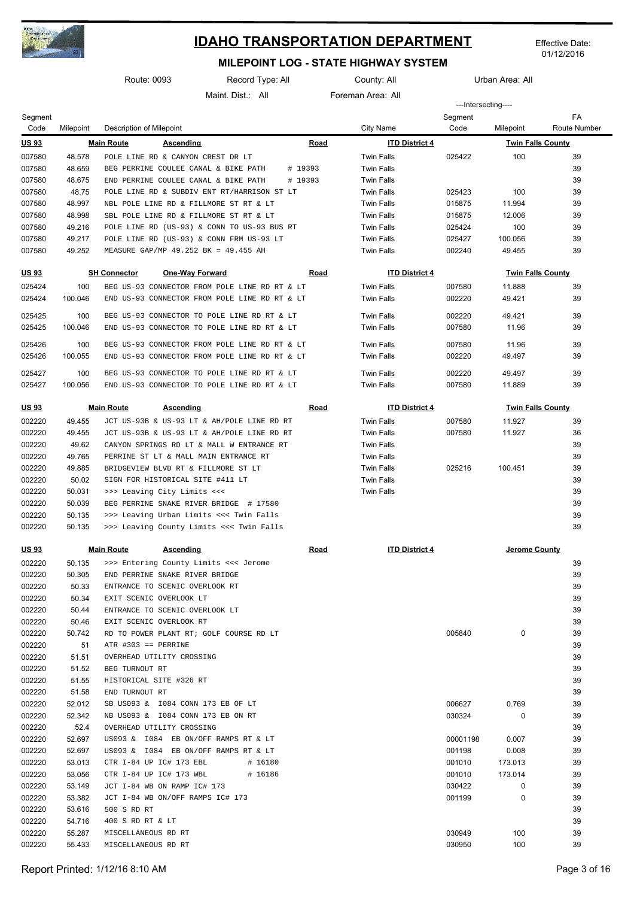

Effective Date: 01/12/2016

|                  |                | Route: 0093                                   | Record Type: All |             | County: All           |                     | Urban Area: All          |              |
|------------------|----------------|-----------------------------------------------|------------------|-------------|-----------------------|---------------------|--------------------------|--------------|
|                  |                |                                               | Maint Dist: All  |             | Foreman Area: All     |                     |                          |              |
|                  |                |                                               |                  |             |                       | ---Intersecting---- |                          | FA           |
| Segment<br>Code  | Milepoint      | Description of Milepoint                      |                  |             | <b>City Name</b>      | Segment<br>Code     | Milepoint                | Route Number |
| <u>US 93</u>     |                | <b>Main Route</b><br><b>Ascending</b>         |                  | <b>Road</b> | <b>ITD District 4</b> |                     | <b>Twin Falls County</b> |              |
| 007580           | 48.578         | POLE LINE RD & CANYON CREST DR LT             |                  |             | <b>Twin Falls</b>     | 025422              | 100                      | 39           |
| 007580           | 48.659         | BEG PERRINE COULEE CANAL & BIKE PATH          |                  | # 19393     | <b>Twin Falls</b>     |                     |                          | 39           |
| 007580           | 48.675         | END PERRINE COULEE CANAL & BIKE PATH          |                  | # 19393     | <b>Twin Falls</b>     |                     |                          | 39           |
| 007580           | 48.75          | POLE LINE RD & SUBDIV ENT RT/HARRISON ST LT   |                  |             | <b>Twin Falls</b>     | 025423              | 100                      | 39           |
| 007580           | 48.997         | NBL POLE LINE RD & FILLMORE ST RT & LT        |                  |             | <b>Twin Falls</b>     | 015875              | 11.994                   | 39           |
| 007580           | 48.998         | SBL POLE LINE RD & FILLMORE ST RT & LT        |                  |             | <b>Twin Falls</b>     | 015875              | 12.006                   | 39           |
| 007580           | 49.216         | POLE LINE RD (US-93) & CONN TO US-93 BUS RT   |                  |             | <b>Twin Falls</b>     | 025424              | 100                      | 39           |
| 007580           | 49.217         | POLE LINE RD (US-93) & CONN FRM US-93 LT      |                  |             | <b>Twin Falls</b>     | 025427              | 100.056                  | 39           |
| 007580           | 49.252         | MEASURE GAP/MP 49.252 BK = 49.455 AH          |                  |             | <b>Twin Falls</b>     | 002240              | 49.455                   | 39           |
| <u>US 93</u>     |                | <b>SH Connector</b><br><b>One-Way Forward</b> |                  | <u>Road</u> | <b>ITD District 4</b> |                     | <b>Twin Falls County</b> |              |
| 025424           | 100            | BEG US-93 CONNECTOR FROM POLE LINE RD RT & LT |                  |             | <b>Twin Falls</b>     | 007580              | 11.888                   | 39           |
| 025424           | 100.046        | END US-93 CONNECTOR FROM POLE LINE RD RT & LT |                  |             | <b>Twin Falls</b>     | 002220              | 49.421                   | 39           |
| 025425           | 100            | BEG US-93 CONNECTOR TO POLE LINE RD RT & LT   |                  |             | <b>Twin Falls</b>     | 002220              | 49.421                   | 39           |
| 025425           | 100.046        | END US-93 CONNECTOR TO POLE LINE RD RT & LT   |                  |             | <b>Twin Falls</b>     | 007580              | 11.96                    | 39           |
| 025426           | 100            | BEG US-93 CONNECTOR FROM POLE LINE RD RT & LT |                  |             | <b>Twin Falls</b>     | 007580              | 11.96                    | 39           |
| 025426           | 100.055        | END US-93 CONNECTOR FROM POLE LINE RD RT & LT |                  |             | <b>Twin Falls</b>     | 002220              | 49.497                   | 39           |
| 025427           | 100            | BEG US-93 CONNECTOR TO POLE LINE RD RT & LT   |                  |             | <b>Twin Falls</b>     | 002220              | 49.497                   | 39           |
| 025427           | 100.056        | END US-93 CONNECTOR TO POLE LINE RD RT & LT   |                  |             | <b>Twin Falls</b>     | 007580              | 11.889                   | 39           |
| <u>US 93</u>     |                | <b>Main Route</b><br><b>Ascending</b>         |                  | <b>Road</b> | <b>ITD District 4</b> |                     | <b>Twin Falls County</b> |              |
| 002220           | 49.455         | JCT US-93B & US-93 LT & AH/POLE LINE RD RT    |                  |             | <b>Twin Falls</b>     | 007580              | 11.927                   | 39           |
| 002220           | 49.455         | JCT US-93B & US-93 LT & AH/POLE LINE RD RT    |                  |             | <b>Twin Falls</b>     | 007580              | 11.927                   | 36           |
| 002220           | 49.62          | CANYON SPRINGS RD LT & MALL W ENTRANCE RT     |                  |             | <b>Twin Falls</b>     |                     |                          | 39           |
| 002220           | 49.765         | PERRINE ST LT & MALL MAIN ENTRANCE RT         |                  |             | <b>Twin Falls</b>     |                     |                          | 39           |
| 002220           | 49.885         | BRIDGEVIEW BLVD RT & FILLMORE ST LT           |                  |             | <b>Twin Falls</b>     | 025216              | 100.451                  | 39           |
| 002220           | 50.02          | SIGN FOR HISTORICAL SITE #411 LT              |                  |             | <b>Twin Falls</b>     |                     |                          | 39           |
| 002220           | 50.031         | >>> Leaving City Limits <<<                   |                  |             | <b>Twin Falls</b>     |                     |                          | 39           |
| 002220           | 50.039         | BEG PERRINE SNAKE RIVER BRIDGE # 17580        |                  |             |                       |                     |                          | 39           |
| 002220           | 50.135         | >>> Leaving Urban Limits <<< Twin Falls       |                  |             |                       |                     |                          | 39           |
| 002220           | 50.135         | >>> Leaving County Limits <<< Twin Falls      |                  |             |                       |                     |                          | 39           |
| <u>US 93</u>     |                | <b>Main Route</b><br><b>Ascending</b>         |                  | Road        | <b>ITD District 4</b> |                     | <u>Jerome County</u>     |              |
| 002220           | 50.135         | >>> Entering County Limits <<< Jerome         |                  |             |                       |                     |                          | 39           |
| 002220           | 50.305         | END PERRINE SNAKE RIVER BRIDGE                |                  |             |                       |                     |                          | 39           |
| 002220           | 50.33          | ENTRANCE TO SCENIC OVERLOOK RT                |                  |             |                       |                     |                          | 39           |
| 002220           | 50.34          | EXIT SCENIC OVERLOOK LT                       |                  |             |                       |                     |                          | 39           |
| 002220           | 50.44          | ENTRANCE TO SCENIC OVERLOOK LT                |                  |             |                       |                     |                          | 39           |
| 002220           | 50.46          | EXIT SCENIC OVERLOOK RT                       |                  |             |                       |                     |                          | 39           |
| 002220           | 50.742         | RD TO POWER PLANT RT; GOLF COURSE RD LT       |                  |             |                       | 005840              | 0                        | 39           |
| 002220           | 51             | $ATR$ #303 == PERRINE                         |                  |             |                       |                     |                          | 39           |
| 002220           | 51.51          | OVERHEAD UTILITY CROSSING                     |                  |             |                       |                     |                          | 39           |
| 002220<br>002220 | 51.52<br>51.55 | BEG TURNOUT RT<br>HISTORICAL SITE #326 RT     |                  |             |                       |                     |                          | 39<br>39     |
| 002220           | 51.58          | END TURNOUT RT                                |                  |             |                       |                     |                          | 39           |
| 002220           | 52.012         | SB US093 & I084 CONN 173 EB OF LT             |                  |             |                       | 006627              | 0.769                    | 39           |
| 002220           | 52.342         | NB US093 & I084 CONN 173 EB ON RT             |                  |             |                       | 030324              | 0                        | 39           |
| 002220           | 52.4           | OVERHEAD UTILITY CROSSING                     |                  |             |                       |                     |                          | 39           |
| 002220           | 52.697         | US093 & I084 EB ON/OFF RAMPS RT & LT          |                  |             |                       | 00001198            | 0.007                    | 39           |
| 002220           | 52.697         | US093 & I084 EB ON/OFF RAMPS RT & LT          |                  |             |                       | 001198              | 0.008                    | 39           |
| 002220           | 53.013         | CTR I-84 UP IC# 173 EBL                       | # 16180          |             |                       | 001010              | 173.013                  | 39           |
| 002220           | 53.056         | CTR I-84 UP IC# 173 WBL                       | # 16186          |             |                       | 001010              | 173.014                  | 39           |
| 002220           | 53.149         | JCT I-84 WB ON RAMP IC# 173                   |                  |             |                       | 030422              | 0                        | 39           |
| 002220           | 53.382         | JCT I-84 WB ON/OFF RAMPS IC# 173              |                  |             |                       | 001199              | 0                        | 39           |
| 002220           | 53.616         | 500 S RD RT                                   |                  |             |                       |                     |                          | 39           |
| 002220           | 54.716         | 400 S RD RT & LT                              |                  |             |                       |                     |                          | 39           |
| 002220           | 55.287         | MISCELLANEOUS RD RT                           |                  |             |                       | 030949              | 100                      | 39           |
| 002220           | 55.433         | MISCELLANEOUS RD RT                           |                  |             |                       | 030950              | 100                      | 39           |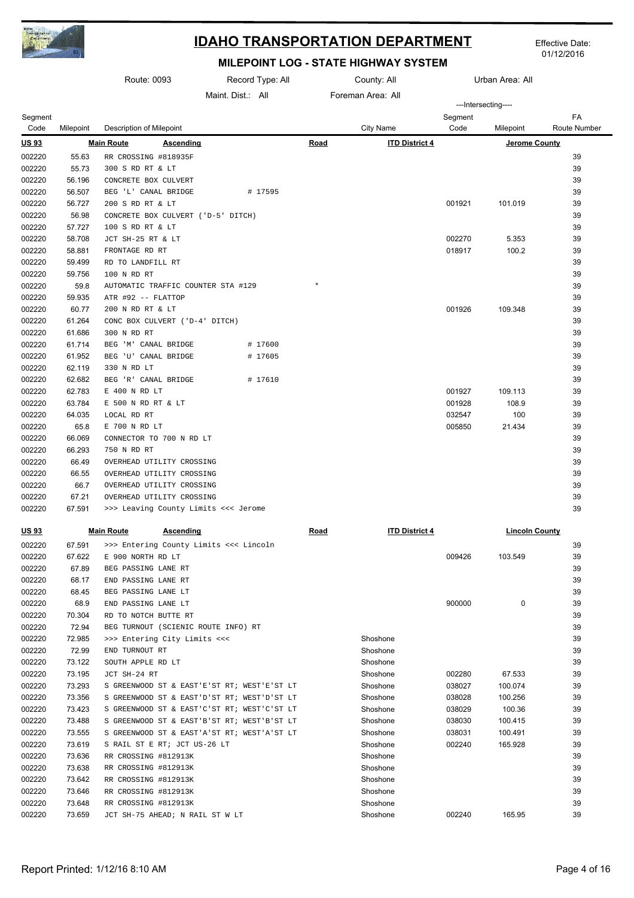

Effective Date: 01/12/2016

|                  |                  | Route: 0093                                  | Record Type: All   |             | County: All           | Urban Area: All |                       |                           |
|------------------|------------------|----------------------------------------------|--------------------|-------------|-----------------------|-----------------|-----------------------|---------------------------|
|                  |                  |                                              | Maint Dist: All    |             | Foreman Area: All     |                 |                       |                           |
|                  |                  |                                              |                    |             |                       |                 | ---Intersecting----   |                           |
| Segment<br>Code  | Milepoint        | Description of Milepoint                     |                    |             | <b>City Name</b>      | Segment<br>Code | Milepoint             | FA<br><b>Route Number</b> |
| <u>US 93</u>     |                  | <b>Main Route</b><br><u>Ascending</u>        |                    | Road        | <b>ITD District 4</b> |                 | Jerome County         |                           |
| 002220           | 55.63            | RR CROSSING #818935F                         |                    |             |                       |                 |                       | 39                        |
| 002220           | 55.73            | 300 S RD RT & LT                             |                    |             |                       |                 |                       | 39                        |
| 002220           | 56.196           | CONCRETE BOX CULVERT                         |                    |             |                       |                 |                       | 39                        |
| 002220           | 56.507           | BEG 'L' CANAL BRIDGE                         | # 17595            |             |                       |                 |                       | 39                        |
| 002220           | 56.727           | 200 S RD RT & LT                             |                    |             |                       | 001921          | 101.019               | 39                        |
| 002220           | 56.98            | CONCRETE BOX CULVERT ('D-5' DITCH)           |                    |             |                       |                 |                       | 39                        |
| 002220           | 57.727           | 100 S RD RT & LT                             |                    |             |                       |                 |                       | 39                        |
| 002220           | 58.708           | JCT SH-25 RT & LT                            |                    |             |                       | 002270          | 5.353                 | 39                        |
| 002220           | 58.881           | FRONTAGE RD RT                               |                    |             |                       | 018917          | 100.2                 | 39                        |
| 002220           | 59.499           | RD TO LANDFILL RT                            |                    |             |                       |                 |                       | 39                        |
| 002220           | 59.756           | 100 N RD RT                                  |                    |             |                       |                 |                       | 39                        |
| 002220           | 59.8             | AUTOMATIC TRAFFIC COUNTER STA #129           |                    | $\star$     |                       |                 |                       | 39                        |
| 002220           | 59.935           | ATR #92 -- FLATTOP                           |                    |             |                       |                 |                       | 39                        |
| 002220           | 60.77            | 200 N RD RT & LT                             |                    |             |                       | 001926          | 109.348               | 39                        |
| 002220           | 61.264           | CONC BOX CULVERT ('D-4' DITCH)               |                    |             |                       |                 |                       | 39                        |
| 002220           | 61.686           | 300 N RD RT                                  |                    |             |                       |                 |                       | 39                        |
| 002220<br>002220 | 61.714<br>61.952 | BEG 'M' CANAL BRIDGE<br>BEG 'U' CANAL BRIDGE | # 17600<br># 17605 |             |                       |                 |                       | 39<br>39                  |
| 002220           | 62.119           | 330 N RD LT                                  |                    |             |                       |                 |                       | 39                        |
| 002220           | 62.682           | BEG 'R' CANAL BRIDGE                         | # 17610            |             |                       |                 |                       | 39                        |
| 002220           | 62.783           | E 400 N RD LT                                |                    |             |                       | 001927          | 109.113               | 39                        |
| 002220           | 63.784           | E 500 N RD RT & LT                           |                    |             |                       | 001928          | 108.9                 | 39                        |
| 002220           | 64.035           | LOCAL RD RT                                  |                    |             |                       | 032547          | 100                   | 39                        |
| 002220           | 65.8             | E 700 N RD LT                                |                    |             |                       | 005850          | 21.434                | 39                        |
| 002220           | 66.069           | CONNECTOR TO 700 N RD LT                     |                    |             |                       |                 |                       | 39                        |
| 002220           | 66.293           | 750 N RD RT                                  |                    |             |                       |                 |                       | 39                        |
| 002220           | 66.49            | OVERHEAD UTILITY CROSSING                    |                    |             |                       |                 |                       | 39                        |
| 002220           | 66.55            | OVERHEAD UTILITY CROSSING                    |                    |             |                       |                 |                       | 39                        |
| 002220           | 66.7             | OVERHEAD UTILITY CROSSING                    |                    |             |                       |                 |                       | 39                        |
| 002220           | 67.21            | OVERHEAD UTILITY CROSSING                    |                    |             |                       |                 |                       | 39                        |
| 002220           | 67.591           | >>> Leaving County Limits <<< Jerome         |                    |             |                       |                 |                       | 39                        |
| <u>US 93</u>     |                  | <b>Main Route</b><br><b>Ascending</b>        |                    | <b>Road</b> | <b>ITD District 4</b> |                 | <b>Lincoln County</b> |                           |
| 002220           | 67.591           | >>> Entering County Limits <<< Lincoln       |                    |             |                       |                 |                       | 39                        |
| 002220           | 67.622           | E 900 NORTH RD LT                            |                    |             |                       | 009426          | 103.549               | 39                        |
| 002220           | 67.89            | BEG PASSING LANE RT                          |                    |             |                       |                 |                       | 39                        |
| 002220           | 68.17            | END PASSING LANE RT                          |                    |             |                       |                 |                       | 39                        |
| 002220           | 68.45            | BEG PASSING LANE LT                          |                    |             |                       |                 |                       | 39                        |
| 002220           | 68.9             | END PASSING LANE LT                          |                    |             |                       | 900000          | 0                     | 39                        |
| 002220           | 70.304           | RD TO NOTCH BUTTE RT                         |                    |             |                       |                 |                       | 39                        |
| 002220           | 72.94            | BEG TURNOUT (SCIENIC ROUTE INFO) RT          |                    |             |                       |                 |                       | 39                        |
| 002220           | 72.985           | >>> Entering City Limits <<<                 |                    |             | Shoshone              |                 |                       | 39                        |
| 002220           | 72.99            | END TURNOUT RT                               |                    |             | Shoshone              |                 |                       | 39                        |
| 002220           | 73.122           | SOUTH APPLE RD LT                            |                    |             | Shoshone              |                 |                       | 39                        |
| 002220           | 73.195           | JCT SH-24 RT                                 |                    |             | Shoshone              | 002280          | 67.533                | 39                        |
| 002220           | 73.293           | S GREENWOOD ST & EAST'E'ST RT; WEST'E'ST LT  |                    |             | Shoshone              | 038027          | 100.074               | 39                        |
| 002220           | 73.356           | S GREENWOOD ST & EAST'D'ST RT; WEST'D'ST LT  |                    |             | Shoshone              | 038028          | 100.256               | 39                        |
| 002220           | 73.423           | S GREENWOOD ST & EAST'C'ST RT; WEST'C'ST LT  |                    |             | Shoshone              | 038029          | 100.36                | 39                        |
| 002220           | 73.488           | S GREENWOOD ST & EAST'B'ST RT; WEST'B'ST LT  |                    |             | Shoshone              | 038030          | 100.415               | 39                        |
| 002220           | 73.555           | S GREENWOOD ST & EAST'A'ST RT; WEST'A'ST LT  |                    |             | Shoshone              | 038031          | 100.491               | 39                        |
| 002220           | 73.619           | S RAIL ST E RT; JCT US-26 LT                 |                    |             | Shoshone              | 002240          | 165.928               | 39                        |
| 002220           | 73.636           | RR CROSSING #812913K                         |                    |             | Shoshone              |                 |                       | 39                        |
| 002220           | 73.638           | RR CROSSING #812913K                         |                    |             | Shoshone              |                 |                       | 39                        |
| 002220           | 73.642           | RR CROSSING #812913K                         |                    |             | Shoshone              |                 |                       | 39                        |
| 002220           | 73.646           | RR CROSSING #812913K                         |                    |             | Shoshone              |                 |                       | 39                        |
| 002220           | 73.648           | RR CROSSING #812913K                         |                    |             | Shoshone              |                 |                       | 39                        |
| 002220           | 73.659           | JCT SH-75 AHEAD; N RAIL ST W LT              |                    |             | Shoshone              | 002240          | 165.95                | 39                        |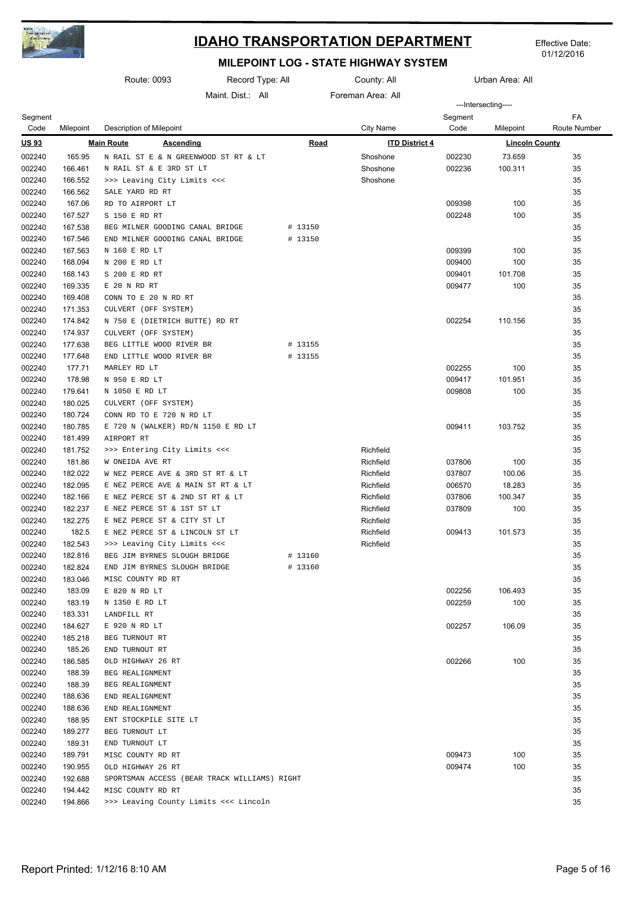

01/12/2016

|                  |                    | Route: 0093<br>Record Type: All              |                 | County: All        | Urban Area: All       |         |                       |              |
|------------------|--------------------|----------------------------------------------|-----------------|--------------------|-----------------------|---------|-----------------------|--------------|
|                  |                    |                                              | Maint Dist: All |                    | Foreman Area: All     |         | ---Intersecting----   |              |
| Segment          |                    |                                              |                 |                    |                       | Segment |                       | FA           |
| Code             | Milepoint          | Description of Milepoint                     |                 |                    | City Name             | Code    | Milepoint             | Route Number |
| <u>US 93</u>     |                    | <b>Main Route</b><br><b>Ascending</b>        |                 | <u>Road</u>        | <b>ITD District 4</b> |         | <b>Lincoln County</b> |              |
| 002240           | 165.95             | N RAIL ST E & N GREENWOOD ST RT & LT         |                 |                    | Shoshone              | 002230  | 73.659                | 35           |
| 002240           | 166.461            | N RAIL ST & E 3RD ST LT                      |                 |                    | Shoshone              | 002236  | 100.311               | 35           |
| 002240           | 166.552            | >>> Leaving City Limits <<<                  |                 |                    | Shoshone              |         |                       | 35           |
| 002240           | 166.562            | SALE YARD RD RT                              |                 |                    |                       |         |                       | 35           |
| 002240           | 167.06             | RD TO AIRPORT LT                             |                 |                    |                       | 009398  | 100                   | 35           |
| 002240           | 167.527            | S 150 E RD RT                                |                 |                    |                       | 002248  | 100                   | 35           |
| 002240           | 167.538            | BEG MILNER GOODING CANAL BRIDGE              |                 | # 13150            |                       |         |                       | 35           |
| 002240           | 167.546            | END MILNER GOODING CANAL BRIDGE              |                 | # 13150            |                       |         |                       | 35           |
| 002240           | 167.563            | N 160 E RD LT                                |                 |                    |                       | 009399  | 100                   | 35           |
| 002240           | 168.094            | N 200 E RD LT                                |                 |                    |                       | 009400  | 100                   | 35           |
| 002240           | 168.143            | S 200 E RD RT                                |                 |                    |                       | 009401  | 101.708               | 35           |
| 002240           | 169.335            | E 20 N RD RT                                 |                 |                    |                       | 009477  | 100                   | 35           |
| 002240           | 169.408            | CONN TO E 20 N RD RT                         |                 |                    |                       |         |                       | 35           |
| 002240           | 171.353            | CULVERT (OFF SYSTEM)                         |                 |                    |                       |         |                       | 35           |
| 002240           | 174.842            | N 750 E (DIETRICH BUTTE) RD RT               |                 |                    |                       | 002254  | 110.156               | 35           |
| 002240           | 174.937            | CULVERT (OFF SYSTEM)                         |                 |                    |                       |         |                       | 35           |
| 002240           | 177.638            | BEG LITTLE WOOD RIVER BR                     |                 | # 13155            |                       |         |                       | 35           |
| 002240           | 177.648            | END LITTLE WOOD RIVER BR                     |                 | # 13155            |                       |         |                       | 35           |
| 002240           | 177.71             | MARLEY RD LT                                 |                 |                    |                       | 002255  | 100                   | 35           |
| 002240           | 178.98             | N 950 E RD LT                                |                 |                    |                       | 009417  | 101.951               | 35           |
| 002240           | 179.641            | N 1050 E RD LT                               |                 |                    |                       | 009808  | 100                   | 35           |
| 002240           | 180.025            | CULVERT (OFF SYSTEM)                         |                 |                    |                       |         |                       | 35           |
| 002240           | 180.724            | CONN RD TO E 720 N RD LT                     |                 |                    |                       |         |                       | 35           |
| 002240           | 180.785            | E 720 N (WALKER) RD/N 1150 E RD LT           |                 |                    |                       | 009411  | 103.752               | 35           |
| 002240           | 181.499            | AIRPORT RT                                   |                 |                    |                       |         |                       | 35           |
| 002240           | 181.752            | >>> Entering City Limits <<<                 |                 |                    | Richfield             |         |                       | 35           |
| 002240           | 181.86             | W ONEIDA AVE RT                              |                 |                    | Richfield             | 037806  | 100                   | 35           |
| 002240           | 182.022            | W NEZ PERCE AVE & 3RD ST RT & LT             |                 |                    | Richfield             | 037807  | 100.06                | 35           |
| 002240           | 182.095            | E NEZ PERCE AVE & MAIN ST RT & LT            |                 |                    | Richfield             | 006570  | 18.283                | 35           |
| 002240           | 182.166            | E NEZ PERCE ST & 2ND ST RT & LT              |                 |                    | Richfield             | 037806  | 100.347               | 35           |
| 002240           | 182.237            | E NEZ PERCE ST & 1ST ST LT                   |                 |                    | Richfield             | 037809  | 100                   | 35           |
| 002240           | 182.275            | E NEZ PERCE ST & CITY ST LT                  |                 |                    | Richfield             |         |                       | 35           |
| 002240           | 182.5              | E NEZ PERCE ST & LINCOLN ST LT               |                 |                    | Richfield             | 009413  | 101.573               | 35           |
| 002240           | 182.543            | >>> Leaving City Limits <<<                  |                 |                    | Richfield             |         |                       | 35           |
| 002240           | 182.816            | BEG JIM BYRNES SLOUGH BRIDGE                 |                 | # 13160<br># 13160 |                       |         |                       | 35           |
| 002240<br>002240 | 182.824<br>183.046 | END JIM BYRNES SLOUGH BRIDGE                 |                 |                    |                       |         |                       | 35<br>35     |
| 002240           | 183.09             | MISC COUNTY RD RT                            |                 |                    |                       | 002256  |                       | 35           |
| 002240           | 183.19             | E 820 N RD LT<br>N 1350 E RD LT              |                 |                    |                       | 002259  | 106.493<br>100        | 35           |
| 002240           | 183.331            | LANDFILL RT                                  |                 |                    |                       |         |                       | 35           |
| 002240           | 184.627            | E 920 N RD LT                                |                 |                    |                       | 002257  | 106.09                | 35           |
| 002240           | 185.218            | BEG TURNOUT RT                               |                 |                    |                       |         |                       | 35           |
| 002240           | 185.26             | END TURNOUT RT                               |                 |                    |                       |         |                       | 35           |
| 002240           | 186.585            | OLD HIGHWAY 26 RT                            |                 |                    |                       | 002266  | 100                   | 35           |
| 002240           | 188.39             | BEG REALIGNMENT                              |                 |                    |                       |         |                       | 35           |
| 002240           | 188.39             | BEG REALIGNMENT                              |                 |                    |                       |         |                       | 35           |
| 002240           | 188.636            | END REALIGNMENT                              |                 |                    |                       |         |                       | 35           |
| 002240           | 188.636            | END REALIGNMENT                              |                 |                    |                       |         |                       | 35           |
| 002240           | 188.95             | ENT STOCKPILE SITE LT                        |                 |                    |                       |         |                       | 35           |
| 002240           | 189.277            | BEG TURNOUT LT                               |                 |                    |                       |         |                       | 35           |
| 002240           | 189.31             | END TURNOUT LT                               |                 |                    |                       |         |                       | 35           |
| 002240           | 189.791            | MISC COUNTY RD RT                            |                 |                    |                       | 009473  | 100                   | 35           |
| 002240           | 190.955            | OLD HIGHWAY 26 RT                            |                 |                    |                       | 009474  | 100                   | 35           |
| 002240           | 192.688            | SPORTSMAN ACCESS (BEAR TRACK WILLIAMS) RIGHT |                 |                    |                       |         |                       | 35           |
| 002240           | 194.442            | MISC COUNTY RD RT                            |                 |                    |                       |         |                       | 35           |
| 002240           | 194.866            | >>> Leaving County Limits <<< Lincoln        |                 |                    |                       |         |                       | 35           |
|                  |                    |                                              |                 |                    |                       |         |                       |              |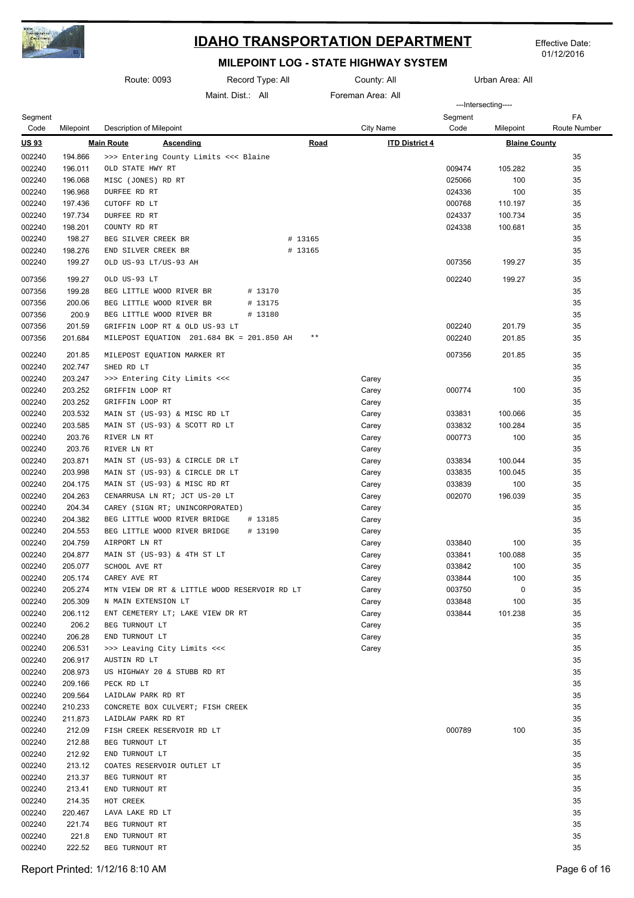

01/12/2016

|                  |                    | Route: 0093                                                   | Record Type: All  |             | County: All           | Urban Area: All  |                      |                           |
|------------------|--------------------|---------------------------------------------------------------|-------------------|-------------|-----------------------|------------------|----------------------|---------------------------|
|                  |                    |                                                               | Maint. Dist.: All |             | Foreman Area: All     |                  | ---Intersecting----  |                           |
| Segment<br>Code  | Milepoint          | Description of Milepoint                                      |                   |             | City Name             | Segment<br>Code  | Milepoint            | FA<br><b>Route Number</b> |
| <u>US 93</u>     |                    | <b>Main Route</b><br><b>Ascending</b>                         |                   | <b>Road</b> | <b>ITD District 4</b> |                  | <b>Blaine County</b> |                           |
| 002240           | 194.866            | >>> Entering County Limits <<< Blaine                         |                   |             |                       |                  |                      | 35                        |
| 002240           | 196.011            | OLD STATE HWY RT                                              |                   |             |                       | 009474           | 105.282              | 35                        |
| 002240           | 196.068            | MISC (JONES) RD RT                                            |                   |             |                       | 025066           | 100                  | 35                        |
| 002240           | 196.968            | DURFEE RD RT                                                  |                   |             |                       | 024336           | 100                  | 35                        |
| 002240           | 197.436            | CUTOFF RD LT                                                  |                   |             |                       | 000768           | 110.197              | 35                        |
| 002240           | 197.734            | DURFEE RD RT                                                  |                   |             |                       | 024337           | 100.734              | 35                        |
| 002240           | 198.201            | COUNTY RD RT                                                  |                   |             |                       | 024338           | 100.681              | 35                        |
| 002240           | 198.27             | BEG SILVER CREEK BR                                           |                   | # 13165     |                       |                  |                      | 35                        |
| 002240           | 198.276            | END SILVER CREEK BR                                           |                   | # 13165     |                       |                  |                      | 35                        |
| 002240           | 199.27             | OLD US-93 LT/US-93 AH                                         |                   |             |                       | 007356           | 199.27               | 35                        |
| 007356           | 199.27             | OLD US-93 LT                                                  |                   |             |                       | 002240           | 199.27               | 35                        |
| 007356           | 199.28             | BEG LITTLE WOOD RIVER BR                                      | # 13170           |             |                       |                  |                      | 35                        |
| 007356           | 200.06             | BEG LITTLE WOOD RIVER BR                                      | # 13175           |             |                       |                  |                      | 35                        |
| 007356           | 200.9              | BEG LITTLE WOOD RIVER BR                                      | # 13180           |             |                       |                  |                      | 35                        |
| 007356           | 201.59             | GRIFFIN LOOP RT & OLD US-93 LT                                |                   |             |                       | 002240           | 201.79               | 35                        |
| 007356           | 201.684            | MILEPOST EQUATION 201.684 BK = 201.850 AH                     |                   | $* *$       |                       | 002240           | 201.85               | 35                        |
| 002240           | 201.85             | MILEPOST EQUATION MARKER RT                                   |                   |             |                       | 007356           | 201.85               | 35                        |
| 002240           | 202.747            | SHED RD LT                                                    |                   |             |                       |                  |                      | 35                        |
| 002240           | 203.247            | >>> Entering City Limits <<<                                  |                   |             | Carey                 |                  |                      | 35                        |
| 002240           | 203.252            | GRIFFIN LOOP RT                                               |                   |             | Carey                 | 000774           | 100                  | 35                        |
| 002240           | 203.252            | GRIFFIN LOOP RT                                               |                   |             | Carey                 |                  |                      | 35                        |
| 002240           | 203.532            | MAIN ST (US-93) & MISC RD LT                                  |                   |             | Carey                 | 033831           | 100.066              | 35                        |
| 002240           | 203.585            | MAIN ST (US-93) & SCOTT RD LT                                 |                   |             | Carey                 | 033832           | 100.284              | 35                        |
| 002240           | 203.76             | RIVER LN RT                                                   |                   |             | Carey                 | 000773           | 100                  | 35                        |
| 002240           | 203.76             | RIVER LN RT                                                   |                   |             | Carey                 |                  |                      | 35                        |
| 002240           | 203.871            | MAIN ST (US-93) & CIRCLE DR LT                                |                   |             | Carey                 | 033834           | 100.044              | 35                        |
| 002240           | 203.998            | MAIN ST (US-93) & CIRCLE DR LT                                |                   |             | Carey                 | 033835           | 100.045              | 35                        |
| 002240<br>002240 | 204.175<br>204.263 | MAIN ST (US-93) & MISC RD RT<br>CENARRUSA LN RT; JCT US-20 LT |                   |             | Carey<br>Carey        | 033839<br>002070 | 100<br>196.039       | 35<br>35                  |
| 002240           | 204.34             | CAREY (SIGN RT; UNINCORPORATED)                               |                   |             | Carey                 |                  |                      | 35                        |
| 002240           | 204.382            | BEG LITTLE WOOD RIVER BRIDGE                                  | # 13185           |             | Carey                 |                  |                      | 35                        |
| 002240           | 204.553            | BEG LITTLE WOOD RIVER BRIDGE                                  | # 13190           |             | Carey                 |                  |                      | 35                        |
| 002240           | 204.759            | AIRPORT LN RT                                                 |                   |             | Carey                 | 033840           | 100                  | 35                        |
| 002240           | 204.877            | MAIN ST (US-93) & 4TH ST LT                                   |                   |             | Carey                 | 033841           | 100.088              | 35                        |
| 002240           | 205.077            | SCHOOL AVE RT                                                 |                   |             | Carey                 | 033842           | 100                  | 35                        |
| 002240           | 205.174            | CAREY AVE RT                                                  |                   |             | Carey                 | 033844           | 100                  | 35                        |
| 002240           | 205.274            | MTN VIEW DR RT & LITTLE WOOD RESERVOIR RD LT                  |                   |             | Carey                 | 003750           | 0                    | 35                        |
| 002240           | 205.309            | N MAIN EXTENSION LT                                           |                   |             | Carey                 | 033848           | 100                  | 35                        |
| 002240           | 206.112            | ENT CEMETERY LT; LAKE VIEW DR RT                              |                   |             | Carey                 | 033844           | 101.238              | 35                        |
| 002240           | 206.2              | BEG TURNOUT LT                                                |                   |             | Carey                 |                  |                      | 35                        |
| 002240           | 206.28             | END TURNOUT LT                                                |                   |             | Carey                 |                  |                      | 35                        |
| 002240           | 206.531            | >>> Leaving City Limits <<<                                   |                   |             | Carey                 |                  |                      | 35                        |
| 002240           | 206.917            | AUSTIN RD LT                                                  |                   |             |                       |                  |                      | 35                        |
| 002240           | 208.973            | US HIGHWAY 20 & STUBB RD RT                                   |                   |             |                       |                  |                      | 35                        |
| 002240           | 209.166            | PECK RD LT                                                    |                   |             |                       |                  |                      | 35                        |
| 002240<br>002240 | 209.564<br>210.233 | LAIDLAW PARK RD RT<br>CONCRETE BOX CULVERT; FISH CREEK        |                   |             |                       |                  |                      | 35<br>35                  |
| 002240           | 211.873            | LAIDLAW PARK RD RT                                            |                   |             |                       |                  |                      | 35                        |
| 002240           | 212.09             | FISH CREEK RESERVOIR RD LT                                    |                   |             |                       | 000789           | 100                  | 35                        |
| 002240           | 212.88             | BEG TURNOUT LT                                                |                   |             |                       |                  |                      | 35                        |
| 002240           | 212.92             | END TURNOUT LT                                                |                   |             |                       |                  |                      | 35                        |
| 002240           | 213.12             | COATES RESERVOIR OUTLET LT                                    |                   |             |                       |                  |                      | 35                        |
| 002240           | 213.37             | BEG TURNOUT RT                                                |                   |             |                       |                  |                      | 35                        |
| 002240           | 213.41             | END TURNOUT RT                                                |                   |             |                       |                  |                      | 35                        |
| 002240           | 214.35             | HOT CREEK                                                     |                   |             |                       |                  |                      | 35                        |
| 002240           | 220.467            | LAVA LAKE RD LT                                               |                   |             |                       |                  |                      | 35                        |
| 002240           | 221.74             | BEG TURNOUT RT                                                |                   |             |                       |                  |                      | 35                        |
| 002240           | 221.8              | END TURNOUT RT                                                |                   |             |                       |                  |                      | 35                        |
| 002240           | 222.52             | BEG TURNOUT RT                                                |                   |             |                       |                  |                      | 35                        |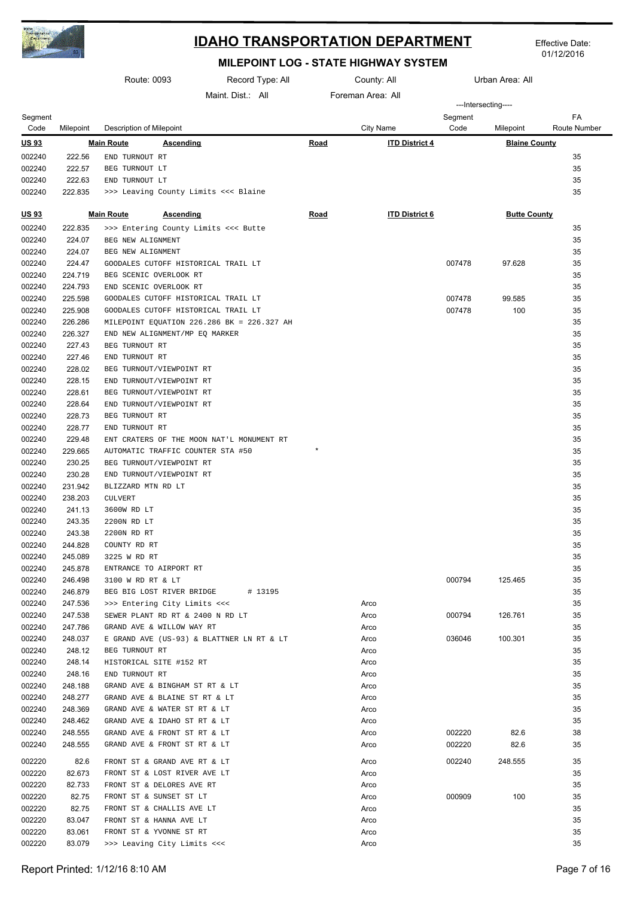

Effective Date: 01/12/2016

|                  | Route: 0093       |                                  |                                                                 | Record Type: All<br>County: All            |             | Urban Area: All       |                 |                      |                    |
|------------------|-------------------|----------------------------------|-----------------------------------------------------------------|--------------------------------------------|-------------|-----------------------|-----------------|----------------------|--------------------|
|                  |                   |                                  |                                                                 | Maint Dist: All                            |             | Foreman Area: All     |                 |                      |                    |
|                  |                   |                                  |                                                                 |                                            |             |                       |                 | ---Intersecting----  |                    |
| Segment<br>Code  | Milepoint         | <b>Description of Milepoint</b>  |                                                                 |                                            |             | City Name             | Segment<br>Code | Milepoint            | FA<br>Route Number |
| <u>US 93</u>     |                   | <b>Main Route</b>                | <b>Ascending</b>                                                |                                            | Road        | <b>ITD District 4</b> |                 | <b>Blaine County</b> |                    |
| 002240           | 222.56            | END TURNOUT RT                   |                                                                 |                                            |             |                       |                 |                      | 35                 |
| 002240           | 222.57            | BEG TURNOUT LT                   |                                                                 |                                            |             |                       |                 |                      | 35                 |
| 002240           | 222.63            | END TURNOUT LT                   |                                                                 |                                            |             |                       |                 |                      | 35                 |
| 002240           | 222.835           |                                  |                                                                 | >>> Leaving County Limits <<< Blaine       |             |                       |                 |                      | 35                 |
| <u>US93</u>      |                   | <b>Main Route</b>                | <b>Ascending</b>                                                |                                            | <b>Road</b> | <b>ITD District 6</b> |                 | <b>Butte County</b>  |                    |
| 002240           | 222.835           |                                  |                                                                 | >>> Entering County Limits <<< Butte       |             |                       |                 |                      | 35                 |
| 002240           | 224.07            | BEG NEW ALIGNMENT                |                                                                 |                                            |             |                       |                 |                      | 35                 |
| 002240           | 224.07            | BEG NEW ALIGNMENT                |                                                                 |                                            |             |                       |                 |                      | 35                 |
| 002240           | 224.47            |                                  |                                                                 | GOODALES CUTOFF HISTORICAL TRAIL LT        |             |                       | 007478          | 97.628               | 35                 |
| 002240           | 224.719           |                                  | BEG SCENIC OVERLOOK RT                                          |                                            |             |                       |                 |                      | 35                 |
| 002240           | 224.793           |                                  | END SCENIC OVERLOOK RT                                          |                                            |             |                       |                 |                      | 35                 |
| 002240           | 225.598           |                                  |                                                                 | GOODALES CUTOFF HISTORICAL TRAIL LT        |             |                       | 007478          | 99.585               | 35                 |
| 002240           | 225.908           |                                  |                                                                 | GOODALES CUTOFF HISTORICAL TRAIL LT        |             |                       | 007478          | 100                  | 35                 |
| 002240           | 226.286           |                                  |                                                                 | MILEPOINT EQUATION 226.286 BK = 226.327 AH |             |                       |                 |                      | 35                 |
| 002240           | 226.327           |                                  | END NEW ALIGNMENT/MP EQ MARKER                                  |                                            |             |                       |                 |                      | 35                 |
| 002240           | 227.43            | BEG TURNOUT RT                   |                                                                 |                                            |             |                       |                 |                      | 35                 |
| 002240           | 227.46            | END TURNOUT RT                   |                                                                 |                                            |             |                       |                 |                      | 35                 |
| 002240           | 228.02            |                                  | BEG TURNOUT/VIEWPOINT RT                                        |                                            |             |                       |                 |                      | 35                 |
| 002240           | 228.15            |                                  | END TURNOUT/VIEWPOINT RT                                        |                                            |             |                       |                 |                      | 35                 |
| 002240           | 228.61            |                                  | BEG TURNOUT/VIEWPOINT RT                                        |                                            |             |                       |                 |                      | 35                 |
| 002240           | 228.64            |                                  | END TURNOUT/VIEWPOINT RT                                        |                                            |             |                       |                 |                      | 35                 |
| 002240<br>002240 | 228.73<br>228.77  | BEG TURNOUT RT<br>END TURNOUT RT |                                                                 |                                            |             |                       |                 |                      | 35<br>35           |
| 002240           | 229.48            |                                  |                                                                 | ENT CRATERS OF THE MOON NAT'L MONUMENT RT  |             |                       |                 |                      | 35                 |
| 002240           | 229.665           |                                  |                                                                 | AUTOMATIC TRAFFIC COUNTER STA #50          | $\star$     |                       |                 |                      | 35                 |
| 002240           | 230.25            |                                  | BEG TURNOUT/VIEWPOINT RT                                        |                                            |             |                       |                 |                      | 35                 |
| 002240           | 230.28            |                                  | END TURNOUT/VIEWPOINT RT                                        |                                            |             |                       |                 |                      | 35                 |
| 002240           | 231.942           | BLIZZARD MTN RD LT               |                                                                 |                                            |             |                       |                 |                      | 35                 |
| 002240           | 238.203           | <b>CULVERT</b>                   |                                                                 |                                            |             |                       |                 |                      | 35                 |
| 002240           | 241.13            | 3600W RD LT                      |                                                                 |                                            |             |                       |                 |                      | 35                 |
| 002240           | 243.35            | 2200N RD LT                      |                                                                 |                                            |             |                       |                 |                      | 35                 |
| 002240           | 243.38            | 2200N RD RT                      |                                                                 |                                            |             |                       |                 |                      | 35                 |
| 002240           | 244.828           | COUNTY RD RT                     |                                                                 |                                            |             |                       |                 |                      | 35                 |
| 002240           | 245.089           | 3225 W RD RT                     |                                                                 |                                            |             |                       |                 |                      | 35                 |
| 002240           | 245.878           |                                  | ENTRANCE TO AIRPORT RT                                          |                                            |             |                       |                 |                      | 35                 |
| 002240           | 246.498           | 3100 W RD RT & LT                |                                                                 |                                            |             |                       | 000794          | 125.465              | 35                 |
| 002240           | 246.879           |                                  | BEG BIG LOST RIVER BRIDGE                                       | # 13195                                    |             |                       |                 |                      | 35                 |
| 002240           | 247.536           |                                  | >>> Entering City Limits <<<                                    |                                            |             | Arco                  |                 |                      | 35                 |
| 002240           | 247.538           |                                  | SEWER PLANT RD RT & 2400 N RD LT                                |                                            |             | Arco                  | 000794          | 126.761              | 35                 |
| 002240           | 247.786           |                                  | GRAND AVE & WILLOW WAY RT                                       |                                            |             | Arco                  |                 |                      | 35                 |
| 002240           | 248.037           |                                  |                                                                 | E GRAND AVE (US-93) & BLATTNER LN RT & LT  |             | Arco                  | 036046          | 100.301              | 35                 |
| 002240           | 248.12            | BEG TURNOUT RT                   |                                                                 |                                            |             | Arco                  |                 |                      | 35                 |
| 002240           | 248.14            |                                  | HISTORICAL SITE #152 RT                                         |                                            |             | Arco                  |                 |                      | 35                 |
| 002240<br>002240 | 248.16<br>248.188 | END TURNOUT RT                   |                                                                 |                                            |             | Arco<br>Arco          |                 |                      | 35<br>35           |
| 002240           | 248.277           |                                  | GRAND AVE & BINGHAM ST RT & LT<br>GRAND AVE & BLAINE ST RT & LT |                                            |             | Arco                  |                 |                      | 35                 |
| 002240           | 248.369           |                                  | GRAND AVE & WATER ST RT & LT                                    |                                            |             | Arco                  |                 |                      | 35                 |
| 002240           | 248.462           |                                  | GRAND AVE & IDAHO ST RT & LT                                    |                                            |             | Arco                  |                 |                      | 35                 |
| 002240           | 248.555           |                                  | GRAND AVE & FRONT ST RT & LT                                    |                                            |             | Arco                  | 002220          | 82.6                 | 38                 |
| 002240           | 248.555           |                                  | GRAND AVE & FRONT ST RT & LT                                    |                                            |             | Arco                  | 002220          | 82.6                 | 35                 |
| 002220           | 82.6              |                                  | FRONT ST & GRAND AVE RT & LT                                    |                                            |             | Arco                  | 002240          | 248.555              | 35                 |
| 002220           | 82.673            |                                  | FRONT ST & LOST RIVER AVE LT                                    |                                            |             | Arco                  |                 |                      | 35                 |
| 002220           | 82.733            |                                  | FRONT ST & DELORES AVE RT                                       |                                            |             | Arco                  |                 |                      | 35                 |
| 002220           | 82.75             |                                  | FRONT ST & SUNSET ST LT                                         |                                            |             | Arco                  | 000909          | 100                  | 35                 |
| 002220           | 82.75             |                                  | FRONT ST & CHALLIS AVE LT                                       |                                            |             | Arco                  |                 |                      | 35                 |
| 002220           | 83.047            |                                  | FRONT ST & HANNA AVE LT                                         |                                            |             | Arco                  |                 |                      | 35                 |
| 002220           | 83.061            |                                  | FRONT ST & YVONNE ST RT                                         |                                            |             | Arco                  |                 |                      | 35                 |
| 002220           | 83.079            |                                  | >>> Leaving City Limits <<<                                     |                                            |             | Arco                  |                 |                      | 35                 |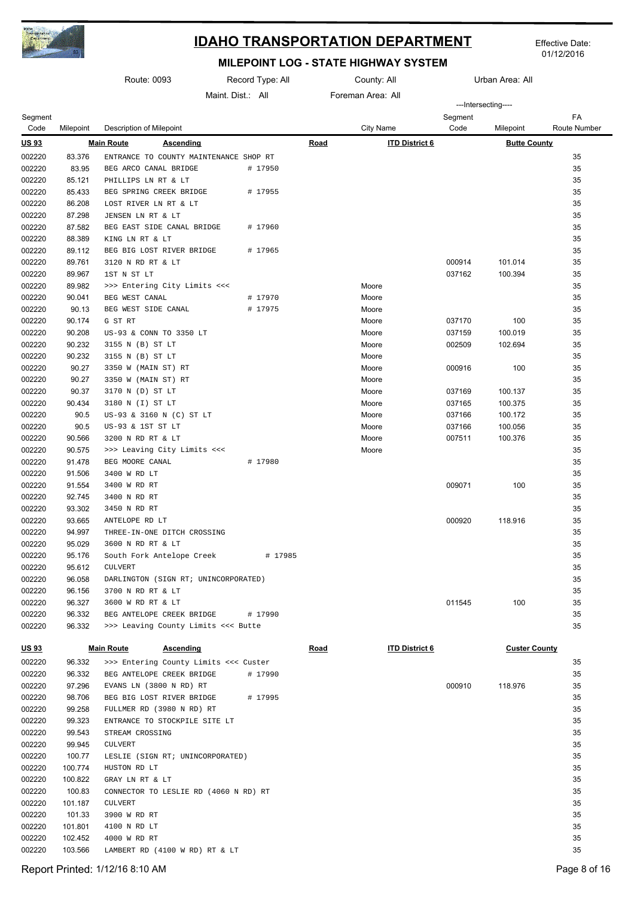

01/12/2016

|                  |                  | Route: 0093                                                        | Record Type: All |             | Urban Area: All<br>County: All |                     |                      |                    |
|------------------|------------------|--------------------------------------------------------------------|------------------|-------------|--------------------------------|---------------------|----------------------|--------------------|
|                  |                  |                                                                    | Maint Dist: All  |             | Foreman Area: All              | ---Intersecting---- |                      |                    |
| Segment<br>Code  | Milepoint        | Description of Milepoint                                           |                  |             | City Name                      | Segment<br>Code     | Milepoint            | FA<br>Route Number |
| <u>US 93</u>     |                  | <b>Main Route</b><br><b>Ascending</b>                              |                  | <u>Road</u> | <b>ITD District 6</b>          |                     | <b>Butte County</b>  |                    |
| 002220           | 83.376           | ENTRANCE TO COUNTY MAINTENANCE SHOP RT                             |                  |             |                                |                     |                      | 35                 |
| 002220           | 83.95            | BEG ARCO CANAL BRIDGE                                              | # 17950          |             |                                |                     |                      | 35                 |
| 002220           | 85.121           | PHILLIPS LN RT & LT                                                |                  |             |                                |                     |                      | 35                 |
| 002220           | 85.433           | BEG SPRING CREEK BRIDGE                                            | # 17955          |             |                                |                     |                      | 35                 |
| 002220           | 86.208           | LOST RIVER LN RT & LT                                              |                  |             |                                |                     |                      | 35                 |
| 002220           | 87.298           | JENSEN LN RT & LT                                                  |                  |             |                                |                     |                      | 35                 |
| 002220           | 87.582           | BEG EAST SIDE CANAL BRIDGE                                         | # 17960          |             |                                |                     |                      | 35                 |
| 002220           | 88.389           | KING LN RT & LT                                                    |                  |             |                                |                     |                      | 35                 |
| 002220           | 89.112           | BEG BIG LOST RIVER BRIDGE<br>3120 N RD RT & LT                     | # 17965          |             |                                | 000914              |                      | 35<br>35           |
| 002220<br>002220 | 89.761<br>89.967 | 1ST N ST LT                                                        |                  |             |                                | 037162              | 101.014<br>100.394   | 35                 |
| 002220           | 89.982           | >>> Entering City Limits <<<                                       |                  |             | Moore                          |                     |                      | 35                 |
| 002220           | 90.041           | BEG WEST CANAL                                                     | # 17970          |             | Moore                          |                     |                      | 35                 |
| 002220           | 90.13            | BEG WEST SIDE CANAL                                                | # 17975          |             | Moore                          |                     |                      | 35                 |
| 002220           | 90.174           | G ST RT                                                            |                  |             | Moore                          | 037170              | 100                  | 35                 |
| 002220           | 90.208           | US-93 & CONN TO 3350 LT                                            |                  |             | Moore                          | 037159              | 100.019              | 35                 |
| 002220           | 90.232           | 3155 N (B) ST LT                                                   |                  |             | Moore                          | 002509              | 102.694              | 35                 |
| 002220           | 90.232           | 3155 N (B) ST LT                                                   |                  |             | Moore                          |                     |                      | 35                 |
| 002220           | 90.27            | 3350 W (MAIN ST) RT                                                |                  |             | Moore                          | 000916              | 100                  | 35                 |
| 002220           | 90.27            | 3350 W (MAIN ST) RT                                                |                  |             | Moore                          |                     |                      | 35                 |
| 002220           | 90.37            | 3170 N (D) ST LT                                                   |                  |             | Moore                          | 037169              | 100.137              | 35                 |
| 002220           | 90.434           | 3180 N (I) ST LT                                                   |                  |             | Moore                          | 037165              | 100.375              | 35                 |
| 002220           | 90.5             | US-93 & 3160 N (C) ST LT                                           |                  |             | Moore                          | 037166              | 100.172              | 35                 |
| 002220           | 90.5             | US-93 & 1ST ST LT                                                  |                  |             | Moore                          | 037166              | 100.056              | 35                 |
| 002220           | 90.566           | 3200 N RD RT & LT                                                  |                  |             | Moore                          | 007511              | 100.376              | 35                 |
| 002220           | 90.575           | >>> Leaving City Limits <<<                                        |                  |             | Moore                          |                     |                      | 35                 |
| 002220           | 91.478           | BEG MOORE CANAL                                                    | # 17980          |             |                                |                     |                      | 35                 |
| 002220           | 91.506           | 3400 W RD LT                                                       |                  |             |                                |                     |                      | 35                 |
| 002220           | 91.554           | 3400 W RD RT                                                       |                  |             |                                | 009071              | 100                  | 35                 |
| 002220<br>002220 | 92.745<br>93.302 | 3400 N RD RT                                                       |                  |             |                                |                     |                      | 35<br>35           |
| 002220           | 93.665           | 3450 N RD RT<br>ANTELOPE RD LT                                     |                  |             |                                | 000920              | 118.916              | 35                 |
| 002220           | 94.997           | THREE-IN-ONE DITCH CROSSING                                        |                  |             |                                |                     |                      | 35                 |
| 002220           | 95.029           | 3600 N RD RT & LT                                                  |                  |             |                                |                     |                      | 35                 |
| 002220           | 95.176           | South Fork Antelope Creek                                          | # 17985          |             |                                |                     |                      | 35                 |
| 002220           | 95.612           | <b>CULVERT</b>                                                     |                  |             |                                |                     |                      | 35                 |
| 002220           | 96.058           | DARLINGTON (SIGN RT; UNINCORPORATED)                               |                  |             |                                |                     |                      | 35                 |
| 002220           | 96.156           | 3700 N RD RT & LT                                                  |                  |             |                                |                     |                      | 35                 |
| 002220           | 96.327           | 3600 W RD RT & LT                                                  |                  |             |                                | 011545              | 100                  | 35                 |
| 002220           | 96.332           | BEG ANTELOPE CREEK BRIDGE                                          | # 17990          |             |                                |                     |                      | 35                 |
| 002220           | 96.332           | >>> Leaving County Limits <<< Butte                                |                  |             |                                |                     |                      | 35                 |
| <u>US 93</u>     |                  | <b>Main Route</b><br><b>Ascending</b>                              |                  | <u>Road</u> | <b>ITD District 6</b>          |                     | <b>Custer County</b> |                    |
|                  |                  |                                                                    |                  |             |                                |                     |                      |                    |
| 002220<br>002220 | 96.332<br>96.332 | >>> Entering County Limits <<< Custer<br>BEG ANTELOPE CREEK BRIDGE | # 17990          |             |                                |                     |                      | 35<br>35           |
| 002220           | 97.296           | EVANS LN (3800 N RD) RT                                            |                  |             |                                | 000910              | 118.976              | 35                 |
| 002220           | 98.706           | BEG BIG LOST RIVER BRIDGE                                          | # 17995          |             |                                |                     |                      | 35                 |
| 002220           | 99.258           | FULLMER RD (3980 N RD) RT                                          |                  |             |                                |                     |                      | 35                 |
| 002220           | 99.323           | ENTRANCE TO STOCKPILE SITE LT                                      |                  |             |                                |                     |                      | 35                 |
| 002220           | 99.543           | STREAM CROSSING                                                    |                  |             |                                |                     |                      | 35                 |
| 002220           | 99.945           | <b>CULVERT</b>                                                     |                  |             |                                |                     |                      | 35                 |
| 002220           | 100.77           | LESLIE (SIGN RT; UNINCORPORATED)                                   |                  |             |                                |                     |                      | 35                 |
| 002220           | 100.774          | HUSTON RD LT                                                       |                  |             |                                |                     |                      | 35                 |
| 002220           | 100.822          | GRAY LN RT & LT                                                    |                  |             |                                |                     |                      | 35                 |
| 002220           | 100.83           | CONNECTOR TO LESLIE RD (4060 N RD) RT                              |                  |             |                                |                     |                      | 35                 |
| 002220           | 101.187          | CULVERT                                                            |                  |             |                                |                     |                      | 35                 |
| 002220           | 101.33           | 3900 W RD RT                                                       |                  |             |                                |                     |                      | 35                 |
| 002220           | 101.801          | 4100 N RD LT                                                       |                  |             |                                |                     |                      | 35                 |
| 002220           | 102.452          | 4000 W RD RT                                                       |                  |             |                                |                     |                      | 35                 |
| 002220           | 103.566          | LAMBERT RD (4100 W RD) RT & LT                                     |                  |             |                                |                     |                      | 35                 |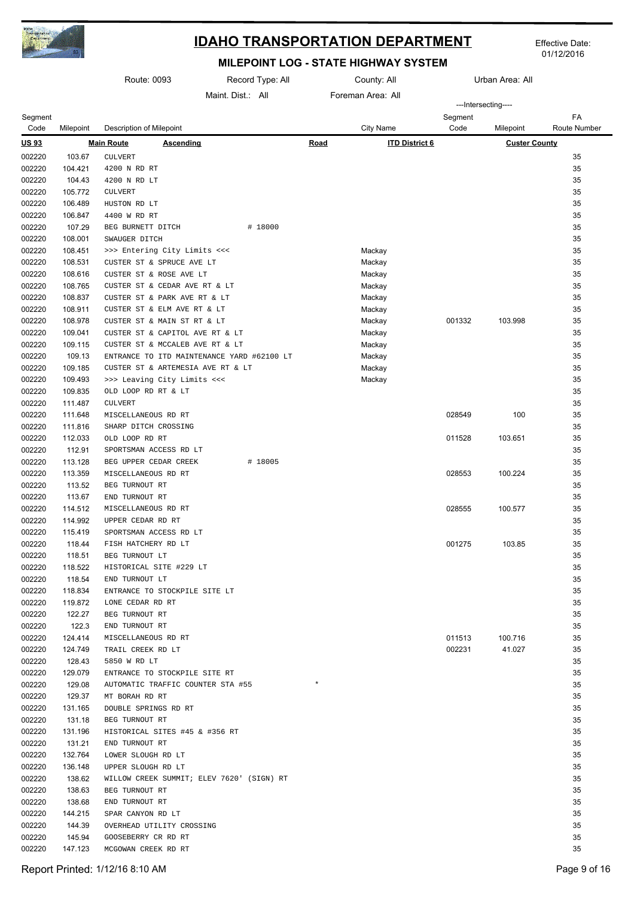

01/12/2016

|                  | Route: 0093        |                                                          | Record Type: All                           | County: All |                       | Urban Area: All |                      |                    |
|------------------|--------------------|----------------------------------------------------------|--------------------------------------------|-------------|-----------------------|-----------------|----------------------|--------------------|
|                  |                    |                                                          | Maint Dist.: All                           |             | Foreman Area: All     |                 |                      |                    |
|                  |                    |                                                          |                                            |             |                       |                 | ---Intersecting----  |                    |
| Segment<br>Code  | Milepoint          | Description of Milepoint                                 |                                            |             | <b>City Name</b>      | Segment<br>Code | Milepoint            | FA<br>Route Number |
| <u>US 93</u>     |                    | <b>Main Route</b><br><b>Ascending</b>                    |                                            | <b>Road</b> | <b>ITD District 6</b> |                 | <b>Custer County</b> |                    |
| 002220           | 103.67             | <b>CULVERT</b>                                           |                                            |             |                       |                 |                      | 35                 |
| 002220           | 104.421            | 4200 N RD RT                                             |                                            |             |                       |                 |                      | 35                 |
| 002220           | 104.43             | 4200 N RD LT                                             |                                            |             |                       |                 |                      | 35                 |
| 002220           | 105.772            | <b>CULVERT</b>                                           |                                            |             |                       |                 |                      | 35                 |
| 002220           | 106.489            | HUSTON RD LT                                             |                                            |             |                       |                 |                      | 35                 |
| 002220           | 106.847            | 4400 W RD RT                                             |                                            |             |                       |                 |                      | 35                 |
| 002220           | 107.29             | BEG BURNETT DITCH                                        | # 18000                                    |             |                       |                 |                      | 35                 |
| 002220           | 108.001            | SWAUGER DITCH                                            |                                            |             |                       |                 |                      | 35                 |
| 002220           | 108.451            | >>> Entering City Limits <<<                             |                                            |             | Mackay                |                 |                      | 35                 |
| 002220           | 108.531            | CUSTER ST & SPRUCE AVE LT                                |                                            |             | Mackay                |                 |                      | 35                 |
| 002220<br>002220 | 108.616<br>108.765 | CUSTER ST & ROSE AVE LT<br>CUSTER ST & CEDAR AVE RT & LT |                                            |             | Mackay<br>Mackay      |                 |                      | 35<br>35           |
| 002220           | 108.837            | CUSTER ST & PARK AVE RT & LT                             |                                            |             | Mackay                |                 |                      | 35                 |
| 002220           | 108.911            | CUSTER ST & ELM AVE RT & LT                              |                                            |             | Mackay                |                 |                      | 35                 |
| 002220           | 108.978            | CUSTER ST & MAIN ST RT & LT                              |                                            |             | Mackay                | 001332          | 103.998              | 35                 |
| 002220           | 109.041            | CUSTER ST & CAPITOL AVE RT & LT                          |                                            |             | Mackay                |                 |                      | 35                 |
| 002220           | 109.115            | CUSTER ST & MCCALEB AVE RT & LT                          |                                            |             | Mackay                |                 |                      | 35                 |
| 002220           | 109.13             |                                                          | ENTRANCE TO ITD MAINTENANCE YARD #62100 LT |             | Mackay                |                 |                      | 35                 |
| 002220           | 109.185            | CUSTER ST & ARTEMESIA AVE RT & LT                        |                                            |             | Mackay                |                 |                      | 35                 |
| 002220           | 109.493            | >>> Leaving City Limits <<<                              |                                            |             | Mackay                |                 |                      | 35                 |
| 002220           | 109.835            | OLD LOOP RD RT & LT                                      |                                            |             |                       |                 |                      | 35                 |
| 002220           | 111.487            | <b>CULVERT</b>                                           |                                            |             |                       |                 |                      | 35                 |
| 002220           | 111.648            | MISCELLANEOUS RD RT                                      |                                            |             |                       | 028549          | 100                  | 35                 |
| 002220           | 111.816            | SHARP DITCH CROSSING                                     |                                            |             |                       |                 |                      | 35                 |
| 002220           | 112.033            | OLD LOOP RD RT                                           |                                            |             |                       | 011528          | 103.651              | 35                 |
| 002220           | 112.91             | SPORTSMAN ACCESS RD LT                                   |                                            |             |                       |                 |                      | 35                 |
| 002220           | 113.128            | BEG UPPER CEDAR CREEK                                    | # 18005                                    |             |                       |                 |                      | 35                 |
| 002220           | 113.359            | MISCELLANEOUS RD RT                                      |                                            |             |                       | 028553          | 100.224              | 35                 |
| 002220           | 113.52             | BEG TURNOUT RT                                           |                                            |             |                       |                 |                      | 35                 |
| 002220           | 113.67             | END TURNOUT RT                                           |                                            |             |                       |                 |                      | 35                 |
| 002220<br>002220 | 114.512<br>114.992 | MISCELLANEOUS RD RT<br>UPPER CEDAR RD RT                 |                                            |             |                       | 028555          | 100.577              | 35<br>35           |
| 002220           | 115.419            | SPORTSMAN ACCESS RD LT                                   |                                            |             |                       |                 |                      | 35                 |
| 002220           | 118.44             | FISH HATCHERY RD LT                                      |                                            |             |                       | 001275          | 103.85               | 35                 |
| 002220           | 118.51             | BEG TURNOUT LT                                           |                                            |             |                       |                 |                      | 35                 |
| 002220           | 118.522            | HISTORICAL SITE #229 LT                                  |                                            |             |                       |                 |                      | 35                 |
| 002220           | 118.54             | END TURNOUT LT                                           |                                            |             |                       |                 |                      | 35                 |
| 002220           | 118.834            | ENTRANCE TO STOCKPILE SITE LT                            |                                            |             |                       |                 |                      | 35                 |
| 002220           | 119.872            | LONE CEDAR RD RT                                         |                                            |             |                       |                 |                      | 35                 |
| 002220           | 122.27             | BEG TURNOUT RT                                           |                                            |             |                       |                 |                      | 35                 |
| 002220           | 122.3              | END TURNOUT RT                                           |                                            |             |                       |                 |                      | 35                 |
| 002220           | 124.414            | MISCELLANEOUS RD RT                                      |                                            |             |                       | 011513          | 100.716              | 35                 |
| 002220           | 124.749            | TRAIL CREEK RD LT                                        |                                            |             |                       | 002231          | 41.027               | 35                 |
| 002220           | 128.43             | 5850 W RD LT                                             |                                            |             |                       |                 |                      | 35                 |
| 002220           | 129.079            | ENTRANCE TO STOCKPILE SITE RT                            |                                            |             |                       |                 |                      | 35                 |
| 002220           | 129.08             | AUTOMATIC TRAFFIC COUNTER STA #55                        |                                            |             |                       |                 |                      | 35                 |
| 002220           | 129.37             | MT BORAH RD RT                                           |                                            |             |                       |                 |                      | 35                 |
| 002220           | 131.165            | DOUBLE SPRINGS RD RT                                     |                                            |             |                       |                 |                      | 35                 |
| 002220<br>002220 | 131.18<br>131.196  | BEG TURNOUT RT<br>HISTORICAL SITES #45 & #356 RT         |                                            |             |                       |                 |                      | 35<br>35           |
| 002220           | 131.21             | END TURNOUT RT                                           |                                            |             |                       |                 |                      | 35                 |
| 002220           | 132.764            | LOWER SLOUGH RD LT                                       |                                            |             |                       |                 |                      | 35                 |
| 002220           | 136.148            | UPPER SLOUGH RD LT                                       |                                            |             |                       |                 |                      | 35                 |
| 002220           | 138.62             |                                                          | WILLOW CREEK SUMMIT; ELEV 7620' (SIGN) RT  |             |                       |                 |                      | 35                 |
| 002220           | 138.63             | BEG TURNOUT RT                                           |                                            |             |                       |                 |                      | 35                 |
| 002220           | 138.68             | END TURNOUT RT                                           |                                            |             |                       |                 |                      | 35                 |
| 002220           | 144.215            | SPAR CANYON RD LT                                        |                                            |             |                       |                 |                      | 35                 |
| 002220           | 144.39             | OVERHEAD UTILITY CROSSING                                |                                            |             |                       |                 |                      | 35                 |
| 002220           | 145.94             | GOOSEBERRY CR RD RT                                      |                                            |             |                       |                 |                      | 35                 |
| 002220           | 147.123            | MCGOWAN CREEK RD RT                                      |                                            |             |                       |                 |                      | 35                 |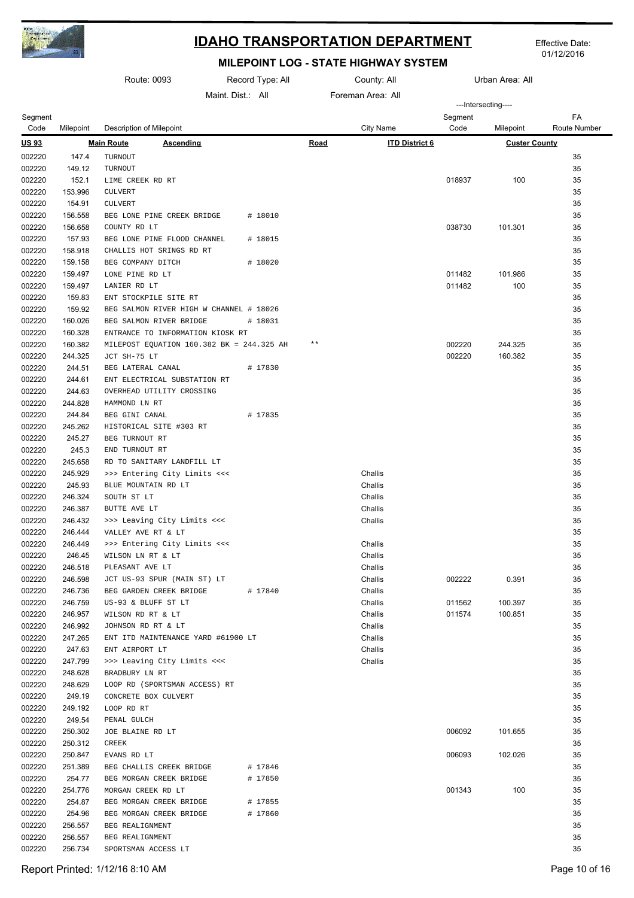

Effective Date: 01/12/2016

|                  |                    | Route: 0093                                |                                           | Record Type: All |                   | County: All           |         | Urban Area: All      |              |
|------------------|--------------------|--------------------------------------------|-------------------------------------------|------------------|-------------------|-----------------------|---------|----------------------|--------------|
|                  |                    |                                            | Maint Dist.: All                          |                  | Foreman Area: All |                       |         | ---Intersecting----  |              |
| Segment          |                    |                                            |                                           |                  |                   |                       | Segment |                      | FA           |
| Code             | Milepoint          | Description of Milepoint                   |                                           |                  |                   | City Name             | Code    | Milepoint            | Route Number |
| <u>US 93</u>     |                    | <b>Main Route</b>                          | <b>Ascending</b>                          |                  | Road              | <b>ITD District 6</b> |         | <b>Custer County</b> |              |
| 002220           | 147.4              | TURNOUT                                    |                                           |                  |                   |                       |         |                      | 35           |
| 002220           | 149.12             | TURNOUT                                    |                                           |                  |                   |                       |         |                      | 35           |
| 002220           | 152.1              | LIME CREEK RD RT                           |                                           |                  |                   |                       | 018937  | 100                  | 35           |
| 002220           | 153.996            | <b>CULVERT</b>                             |                                           |                  |                   |                       |         |                      | 35           |
| 002220           | 154.91             | <b>CULVERT</b>                             |                                           |                  |                   |                       |         |                      | 35           |
| 002220<br>002220 | 156.558<br>156.658 | BEG LONE PINE CREEK BRIDGE<br>COUNTY RD LT |                                           | # 18010          |                   |                       | 038730  | 101.301              | 35<br>35     |
| 002220           | 157.93             |                                            | BEG LONE PINE FLOOD CHANNEL               | # 18015          |                   |                       |         |                      | 35           |
| 002220           | 158.918            | CHALLIS HOT SRINGS RD RT                   |                                           |                  |                   |                       |         |                      | 35           |
| 002220           | 159.158            | BEG COMPANY DITCH                          |                                           | # 18020          |                   |                       |         |                      | 35           |
| 002220           | 159.497            | LONE PINE RD LT                            |                                           |                  |                   |                       | 011482  | 101.986              | 35           |
| 002220           | 159.497            | LANIER RD LT                               |                                           |                  |                   |                       | 011482  | 100                  | 35           |
| 002220           | 159.83             | ENT STOCKPILE SITE RT                      |                                           |                  |                   |                       |         |                      | 35           |
| 002220           | 159.92             |                                            | BEG SALMON RIVER HIGH W CHANNEL # 18026   |                  |                   |                       |         |                      | 35           |
| 002220           | 160.026            | BEG SALMON RIVER BRIDGE                    |                                           | # 18031          |                   |                       |         |                      | 35           |
| 002220           | 160.328            |                                            | ENTRANCE TO INFORMATION KIOSK RT          |                  |                   |                       |         |                      | 35           |
| 002220           | 160.382            |                                            | MILEPOST EQUATION 160.382 BK = 244.325 AH |                  | $\star\star$      |                       | 002220  | 244.325              | 35           |
| 002220           | 244.325            | JCT SH-75 LT                               |                                           |                  |                   |                       | 002220  | 160.382              | 35           |
| 002220           | 244.51             | BEG LATERAL CANAL                          |                                           | # 17830          |                   |                       |         |                      | 35           |
| 002220           | 244.61             |                                            | ENT ELECTRICAL SUBSTATION RT              |                  |                   |                       |         |                      | 35           |
| 002220           | 244.63             | OVERHEAD UTILITY CROSSING                  |                                           |                  |                   |                       |         |                      | 35           |
| 002220           | 244.828            | HAMMOND LN RT                              |                                           |                  |                   |                       |         |                      | 35           |
| 002220           | 244.84             | BEG GINI CANAL                             |                                           | # 17835          |                   |                       |         |                      | 35           |
| 002220           | 245.262            | HISTORICAL SITE #303 RT                    |                                           |                  |                   |                       |         |                      | 35           |
| 002220           | 245.27             | BEG TURNOUT RT                             |                                           |                  |                   |                       |         |                      | 35           |
| 002220           | 245.3              | END TURNOUT RT                             |                                           |                  |                   |                       |         |                      | 35           |
| 002220           | 245.658            | RD TO SANITARY LANDFILL LT                 |                                           |                  |                   |                       |         |                      | 35           |
| 002220           | 245.929            |                                            | >>> Entering City Limits <<<              |                  |                   | Challis               |         |                      | 35           |
| 002220           | 245.93             | BLUE MOUNTAIN RD LT                        |                                           |                  |                   | Challis               |         |                      | 35           |
| 002220           | 246.324            | SOUTH ST LT                                |                                           |                  |                   | Challis               |         |                      | 35           |
| 002220           | 246.387            | BUTTE AVE LT                               |                                           |                  |                   | Challis               |         |                      | 35           |
| 002220           | 246.432            |                                            | >>> Leaving City Limits <<<               |                  |                   | Challis               |         |                      | 35           |
| 002220           | 246.444            | VALLEY AVE RT & LT                         |                                           |                  |                   |                       |         |                      | 35           |
| 002220           | 246.449            |                                            | >>> Entering City Limits <<<              |                  |                   | Challis               |         |                      | 35           |
| 002220           | 246.45             | WILSON LN RT & LT                          |                                           |                  |                   | Challis               |         |                      | 35           |
| 002220           | 246.518            | PLEASANT AVE LT                            |                                           |                  |                   | Challis               |         |                      | 35           |
| 002220           | 246.598            |                                            | JCT US-93 SPUR (MAIN ST) LT               |                  |                   | Challis               | 002222  | 0.391                | 35           |
| 002220<br>002220 | 246.736<br>246.759 | BEG GARDEN CREEK BRIDGE                    |                                           | # 17840          |                   | Challis<br>Challis    | 011562  | 100.397              | 35<br>35     |
| 002220           | 246.957            | US-93 & BLUFF ST LT<br>WILSON RD RT & LT   |                                           |                  |                   | Challis               | 011574  | 100.851              | 35           |
| 002220           | 246.992            | JOHNSON RD RT & LT                         |                                           |                  |                   | Challis               |         |                      | 35           |
| 002220           | 247.265            |                                            | ENT ITD MAINTENANCE YARD #61900 LT        |                  |                   | Challis               |         |                      | 35           |
| 002220           | 247.63             | ENT AIRPORT LT                             |                                           |                  |                   | Challis               |         |                      | 35           |
| 002220           | 247.799            |                                            | >>> Leaving City Limits <<<               |                  |                   | Challis               |         |                      | 35           |
| 002220           | 248.628            | BRADBURY LN RT                             |                                           |                  |                   |                       |         |                      | 35           |
| 002220           | 248.629            |                                            | LOOP RD (SPORTSMAN ACCESS) RT             |                  |                   |                       |         |                      | 35           |
| 002220           | 249.19             | CONCRETE BOX CULVERT                       |                                           |                  |                   |                       |         |                      | 35           |
| 002220           | 249.192            | LOOP RD RT                                 |                                           |                  |                   |                       |         |                      | 35           |
| 002220           | 249.54             | PENAL GULCH                                |                                           |                  |                   |                       |         |                      | 35           |
| 002220           | 250.302            | JOE BLAINE RD LT                           |                                           |                  |                   |                       | 006092  | 101.655              | 35           |
| 002220           | 250.312            | CREEK                                      |                                           |                  |                   |                       |         |                      | 35           |
| 002220           | 250.847            | EVANS RD LT                                |                                           |                  |                   |                       | 006093  | 102.026              | 35           |
| 002220           | 251.389            | BEG CHALLIS CREEK BRIDGE                   |                                           | # 17846          |                   |                       |         |                      | 35           |
| 002220           | 254.77             | BEG MORGAN CREEK BRIDGE                    |                                           | # 17850          |                   |                       |         |                      | 35           |
| 002220           | 254.776            | MORGAN CREEK RD LT                         |                                           |                  |                   |                       | 001343  | 100                  | 35           |
| 002220           | 254.87             | BEG MORGAN CREEK BRIDGE                    |                                           | # 17855          |                   |                       |         |                      | 35           |
| 002220           | 254.96             | BEG MORGAN CREEK BRIDGE                    |                                           | # 17860          |                   |                       |         |                      | 35           |
| 002220           | 256.557            | BEG REALIGNMENT                            |                                           |                  |                   |                       |         |                      | 35           |
| 002220           | 256.557            | BEG REALIGNMENT                            |                                           |                  |                   |                       |         |                      | 35           |
| 002220           | 256.734            | SPORTSMAN ACCESS LT                        |                                           |                  |                   |                       |         |                      | 35           |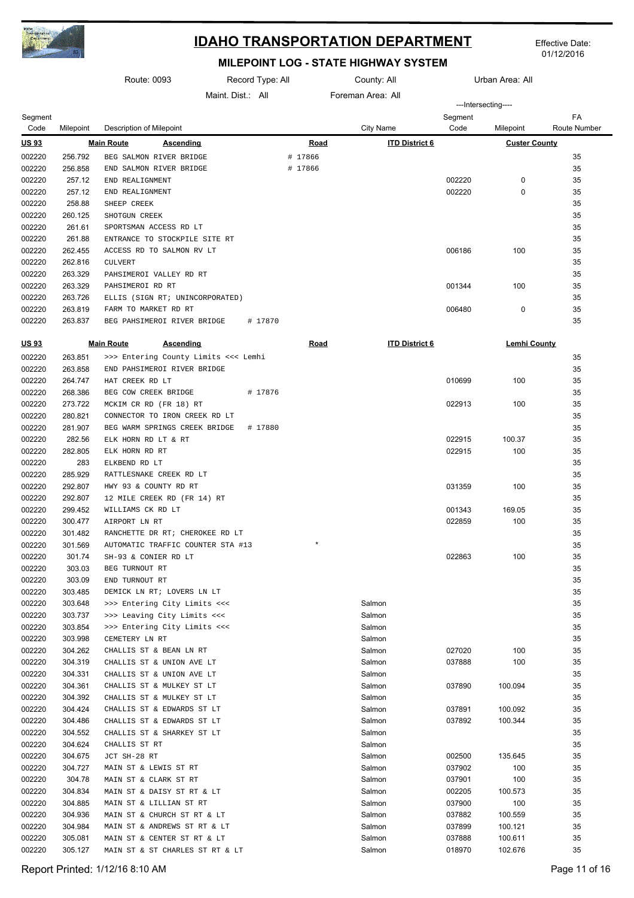

Effective Date: 01/12/2016

|                  |                    | Route: 0093                                            | Record Type: All |             | County: All           |         | Urban Area: All      |              |
|------------------|--------------------|--------------------------------------------------------|------------------|-------------|-----------------------|---------|----------------------|--------------|
|                  |                    |                                                        | Maint Dist: All  |             | Foreman Area: All     |         |                      |              |
| Segment          |                    |                                                        |                  |             |                       | Segment | ---Intersecting----  | FA           |
| Code             | Milepoint          | Description of Milepoint                               |                  |             | <b>City Name</b>      | Code    | Milepoint            | Route Number |
| <u>US 93</u>     |                    | <b>Main Route</b><br><b>Ascending</b>                  |                  | Road        | <b>ITD District 6</b> |         | <b>Custer County</b> |              |
| 002220           | 256.792            | BEG SALMON RIVER BRIDGE                                |                  | # 17866     |                       |         |                      | 35           |
| 002220           | 256.858            | END SALMON RIVER BRIDGE                                |                  | # 17866     |                       |         |                      | 35           |
| 002220           | 257.12             | END REALIGNMENT                                        |                  |             |                       | 002220  | 0                    | 35           |
| 002220           | 257.12             | END REALIGNMENT                                        |                  |             |                       | 002220  | 0                    | 35           |
| 002220           | 258.88             | SHEEP CREEK                                            |                  |             |                       |         |                      | 35           |
| 002220           | 260.125            | SHOTGUN CREEK                                          |                  |             |                       |         |                      | 35           |
| 002220           | 261.61             | SPORTSMAN ACCESS RD LT                                 |                  |             |                       |         |                      | 35           |
| 002220           | 261.88             | ENTRANCE TO STOCKPILE SITE RT                          |                  |             |                       |         |                      | 35           |
| 002220           | 262.455            | ACCESS RD TO SALMON RV LT                              |                  |             |                       | 006186  | 100                  | 35           |
| 002220           | 262.816            | <b>CULVERT</b>                                         |                  |             |                       |         |                      | 35           |
| 002220           | 263.329            | PAHSIMEROI VALLEY RD RT                                |                  |             |                       |         |                      | 35           |
| 002220           | 263.329            | PAHSIMEROI RD RT                                       |                  |             |                       | 001344  | 100                  | 35           |
| 002220           | 263.726            | ELLIS (SIGN RT; UNINCORPORATED)                        |                  |             |                       |         |                      | 35           |
| 002220           | 263.819            | FARM TO MARKET RD RT                                   |                  |             |                       | 006480  | 0                    | 35           |
| 002220           | 263.837            | BEG PAHSIMEROI RIVER BRIDGE                            | # 17870          |             |                       |         |                      | 35           |
| <u>US 93</u>     |                    | <b>Main Route</b><br><b>Ascending</b>                  |                  | <u>Road</u> | <b>ITD District 6</b> |         | Lemhi County         |              |
| 002220           | 263.851            | >>> Entering County Limits <<< Lemhi                   |                  |             |                       |         |                      | 35           |
| 002220           | 263.858            | END PAHSIMEROI RIVER BRIDGE                            |                  |             |                       |         |                      | 35           |
| 002220           | 264.747            | HAT CREEK RD LT                                        |                  |             |                       | 010699  | 100                  | 35           |
| 002220           | 268.386            | BEG COW CREEK BRIDGE                                   | # 17876          |             |                       |         |                      | 35           |
| 002220           | 273.722            | MCKIM CR RD (FR 18) RT                                 |                  |             |                       | 022913  | 100                  | 35           |
| 002220           | 280.821            | CONNECTOR TO IRON CREEK RD LT                          |                  |             |                       |         |                      | 35           |
| 002220           | 281.907            | BEG WARM SPRINGS CREEK BRIDGE                          | # 17880          |             |                       |         |                      | 35           |
| 002220           | 282.56             | ELK HORN RD LT & RT                                    |                  |             |                       | 022915  | 100.37               | 35           |
| 002220           | 282.805            | ELK HORN RD RT                                         |                  |             |                       | 022915  | 100                  | 35           |
| 002220           | 283                | ELKBEND RD LT                                          |                  |             |                       |         |                      | 35           |
| 002220           | 285.929            | RATTLESNAKE CREEK RD LT                                |                  |             |                       |         |                      | 35           |
| 002220           | 292.807            | HWY 93 & COUNTY RD RT                                  |                  |             |                       | 031359  | 100                  | 35           |
| 002220           | 292.807            | 12 MILE CREEK RD (FR 14) RT                            |                  |             |                       |         |                      | 35           |
| 002220           | 299.452            | WILLIAMS CK RD LT                                      |                  |             |                       | 001343  | 169.05               | 35           |
| 002220           | 300.477            | AIRPORT LN RT                                          |                  |             |                       | 022859  | 100                  | 35           |
| 002220           | 301.482            | RANCHETTE DR RT; CHEROKEE RD LT                        |                  |             |                       |         |                      | 35           |
| 002220           | 301.569            | AUTOMATIC TRAFFIC COUNTER STA #13                      |                  | $\star$     |                       |         |                      | 35           |
| 002220           | 301.74             | SH-93 & CONIER RD LT                                   |                  |             |                       | 022863  | 100                  | 35           |
| 002220           | 303.03             | BEG TURNOUT RT                                         |                  |             |                       |         |                      | 35           |
| 002220           | 303.09             | END TURNOUT RT                                         |                  |             |                       |         |                      | 35           |
| 002220           | 303.485            | DEMICK LN RT; LOVERS LN LT                             |                  |             |                       |         |                      | 35           |
| 002220           | 303.648            | >>> Entering City Limits <<<                           |                  |             | Salmon                |         |                      | 35           |
| 002220           | 303.737            | >>> Leaving City Limits <<<                            |                  |             | Salmon                |         |                      | 35           |
| 002220           | 303.854            | >>> Entering City Limits <<<                           |                  |             | Salmon                |         |                      | 35           |
| 002220           | 303.998            | CEMETERY LN RT                                         |                  |             | Salmon                |         |                      | 35           |
| 002220           | 304.262            | CHALLIS ST & BEAN LN RT                                |                  |             | Salmon                | 027020  | 100                  | 35           |
| 002220           | 304.319            | CHALLIS ST & UNION AVE LT                              |                  |             | Salmon                | 037888  | 100                  | 35           |
| 002220<br>002220 | 304.331            | CHALLIS ST & UNION AVE LT                              |                  |             | Salmon<br>Salmon      |         |                      | 35<br>35     |
| 002220           | 304.361<br>304.392 | CHALLIS ST & MULKEY ST LT<br>CHALLIS ST & MULKEY ST LT |                  |             |                       | 037890  | 100.094              | 35           |
| 002220           | 304.424            | CHALLIS ST & EDWARDS ST LT                             |                  |             | Salmon<br>Salmon      | 037891  | 100.092              | 35           |
| 002220           | 304.486            | CHALLIS ST & EDWARDS ST LT                             |                  |             | Salmon                | 037892  | 100.344              | 35           |
| 002220           | 304.552            | CHALLIS ST & SHARKEY ST LT                             |                  |             | Salmon                |         |                      | 35           |
| 002220           | 304.624            | CHALLIS ST RT                                          |                  |             | Salmon                |         |                      | 35           |
| 002220           | 304.675            | JCT SH-28 RT                                           |                  |             | Salmon                | 002500  | 135.645              | 35           |
| 002220           | 304.727            | MAIN ST & LEWIS ST RT                                  |                  |             | Salmon                | 037902  | 100                  | 35           |
| 002220           | 304.78             | MAIN ST & CLARK ST RT                                  |                  |             | Salmon                | 037901  | 100                  | 35           |
| 002220           | 304.834            | MAIN ST & DAISY ST RT & LT                             |                  |             | Salmon                | 002205  | 100.573              | 35           |
| 002220           | 304.885            | MAIN ST & LILLIAN ST RT                                |                  |             | Salmon                | 037900  | 100                  | 35           |
| 002220           | 304.936            | MAIN ST & CHURCH ST RT & LT                            |                  |             | Salmon                | 037882  | 100.559              | 35           |
| 002220           | 304.984            | MAIN ST & ANDREWS ST RT & LT                           |                  |             | Salmon                | 037899  | 100.121              | 35           |
| 002220           | 305.081            | MAIN ST & CENTER ST RT & LT                            |                  |             | Salmon                | 037888  | 100.611              | 35           |
| 002220           | 305.127            | MAIN ST & ST CHARLES ST RT & LT                        |                  |             | Salmon                | 018970  | 102.676              | 35           |
|                  |                    |                                                        |                  |             |                       |         |                      |              |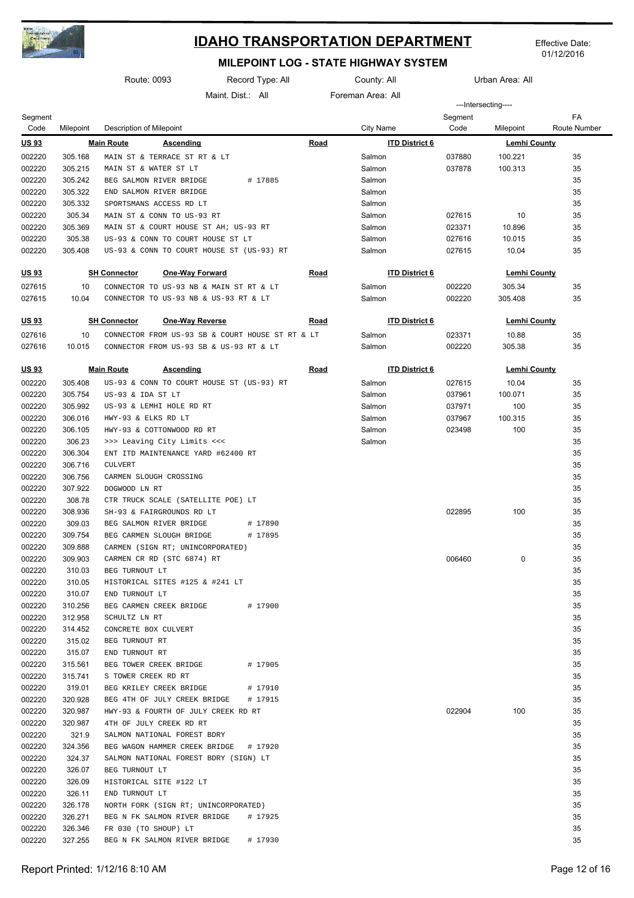

Effective Date: 01/12/2016

|              |           | Route: 0093                             | Record Type: All                                 |             | County: All           |         | Urban Area: All     |                     |
|--------------|-----------|-----------------------------------------|--------------------------------------------------|-------------|-----------------------|---------|---------------------|---------------------|
|              |           |                                         | Maint Dist.: All                                 |             | Foreman Area: All     |         |                     |                     |
|              |           |                                         |                                                  |             |                       |         | ---Intersecting---- |                     |
| Segment      |           |                                         |                                                  |             |                       | Segment |                     | FA                  |
| Code         | Milepoint | Description of Milepoint                |                                                  |             | City Name             | Code    | Milepoint           | <b>Route Number</b> |
| <b>US93</b>  |           | <b>Main Route</b><br><b>Ascending</b>   |                                                  | <b>Road</b> | <b>ITD District 6</b> |         | <b>Lemhi County</b> |                     |
| 002220       | 305.168   | MAIN ST & TERRACE ST RT & LT            |                                                  |             | Salmon                | 037880  | 100.221             | 35                  |
| 002220       | 305.215   | MAIN ST & WATER ST LT                   |                                                  |             | Salmon                | 037878  | 100.313             | 35                  |
| 002220       | 305.242   | BEG SALMON RIVER BRIDGE                 | # 17885                                          |             | Salmon                |         |                     | 35                  |
| 002220       | 305.322   | END SALMON RIVER BRIDGE                 |                                                  |             | Salmon                |         |                     | 35                  |
| 002220       | 305.332   | SPORTSMANS ACCESS RD LT                 |                                                  |             | Salmon                |         |                     | 35                  |
| 002220       | 305.34    | MAIN ST & CONN TO US-93 RT              |                                                  |             | Salmon                | 027615  | 10                  | 35                  |
| 002220       | 305.369   | MAIN ST & COURT HOUSE ST AH; US-93 RT   |                                                  |             | Salmon                | 023371  | 10.896              | 35                  |
| 002220       | 305.38    | US-93 & CONN TO COURT HOUSE ST LT       |                                                  |             | Salmon                | 027616  | 10.015              | 35                  |
| 002220       | 305.408   |                                         | US-93 & CONN TO COURT HOUSE ST (US-93) RT        |             | Salmon                | 027615  | 10.04               | 35                  |
|              |           |                                         |                                                  |             |                       |         |                     |                     |
| <u>US 93</u> |           | <b>SH Connector</b>                     | <b>One-Way Forward</b>                           | <b>Road</b> | <b>ITD District 6</b> |         | <b>Lemhi County</b> |                     |
| 027615       | 10        | CONNECTOR TO US-93 NB & MAIN ST RT & LT |                                                  |             | Salmon                | 002220  | 305.34              | 35                  |
| 027615       | 10.04     | CONNECTOR TO US-93 NB & US-93 RT & LT   |                                                  |             | Salmon                | 002220  | 305.408             | 35                  |
|              |           |                                         |                                                  |             |                       |         |                     |                     |
| <u>US 93</u> |           | <b>SH Connector</b>                     | <b>One-Way Reverse</b>                           | <b>Road</b> | <b>ITD District 6</b> |         | <b>Lemhi County</b> |                     |
| 027616       | 10        |                                         | CONNECTOR FROM US-93 SB & COURT HOUSE ST RT & LT |             | Salmon                | 023371  | 10.88               | 35                  |
| 027616       | 10.015    | CONNECTOR FROM US-93 SB & US-93 RT & LT |                                                  |             | Salmon                | 002220  | 305.38              | 35                  |
|              |           |                                         |                                                  |             |                       |         |                     |                     |
| <u>US 93</u> |           | <b>Main Route</b><br><b>Ascending</b>   |                                                  | <u>Road</u> | <b>ITD District 6</b> |         | <b>Lemhi County</b> |                     |
| 002220       | 305.408   |                                         | US-93 & CONN TO COURT HOUSE ST (US-93) RT        |             | Salmon                | 027615  | 10.04               | 35                  |
| 002220       | 305.754   | US-93 & IDA ST LT                       |                                                  |             | Salmon                | 037961  | 100.071             | 35                  |
| 002220       | 305.992   | US-93 & LEMHI HOLE RD RT                |                                                  |             | Salmon                | 037971  | 100                 | 35                  |
| 002220       | 306.016   | HWY-93 & ELKS RD LT                     |                                                  |             | Salmon                | 037967  | 100.315             | 35                  |
| 002220       | 306.105   | HWY-93 & COTTONWOOD RD RT               |                                                  |             | Salmon                | 023498  | 100                 | 35                  |
| 002220       | 306.23    | >>> Leaving City Limits <<<             |                                                  |             | Salmon                |         |                     | 35                  |
| 002220       | 306.304   | ENT ITD MAINTENANCE YARD #62400 RT      |                                                  |             |                       |         |                     | 35                  |
| 002220       | 306.716   | <b>CULVERT</b>                          |                                                  |             |                       |         |                     | 35                  |
| 002220       | 306.756   | CARMEN SLOUGH CROSSING                  |                                                  |             |                       |         |                     | 35                  |
| 002220       | 307.922   | DOGWOOD LN RT                           |                                                  |             |                       |         |                     | 35                  |
| 002220       | 308.78    | CTR TRUCK SCALE (SATELLITE POE) LT      |                                                  |             |                       |         |                     | 35                  |
| 002220       | 308.936   | SH-93 & FAIRGROUNDS RD LT               |                                                  |             |                       | 022895  | 100                 | 35                  |
| 002220       | 309.03    | BEG SALMON RIVER BRIDGE                 | # 17890                                          |             |                       |         |                     | 35                  |
| 002220       | 309.754   | BEG CARMEN SLOUGH BRIDGE                | # 17895                                          |             |                       |         |                     | 35                  |
| 002220       | 309.888   | CARMEN (SIGN RT; UNINCORPORATED)        |                                                  |             |                       |         |                     | 35                  |
| 002220       | 309.903   | CARMEN CR RD (STC 6874) RT              |                                                  |             |                       | 006460  | 0                   | 35                  |
| 002220       | 310.03    | BEG TURNOUT LT                          |                                                  |             |                       |         |                     | 35                  |
| 002220       | 310.05    | HISTORICAL SITES #125 & #241 LT         |                                                  |             |                       |         |                     | 35                  |
| 002220       | 310.07    | END TURNOUT LT                          |                                                  |             |                       |         |                     | 35                  |
| 002220       | 310.256   | BEG CARMEN CREEK BRIDGE                 | # 17900                                          |             |                       |         |                     | 35                  |
| 002220       | 312.958   | SCHULTZ LN RT                           |                                                  |             |                       |         |                     | 35                  |
| 002220       | 314.452   | CONCRETE BOX CULVERT                    |                                                  |             |                       |         |                     | 35                  |
| 002220       | 315.02    | BEG TURNOUT RT                          |                                                  |             |                       |         |                     | 35                  |
| 002220       | 315.07    | END TURNOUT RT                          |                                                  |             |                       |         |                     | 35                  |
| 002220       | 315.561   | BEG TOWER CREEK BRIDGE                  | # 17905                                          |             |                       |         |                     | 35                  |
| 002220       | 315.741   | S TOWER CREEK RD RT                     |                                                  |             |                       |         |                     | 35                  |
| 002220       | 319.01    | BEG KRILEY CREEK BRIDGE                 | # 17910                                          |             |                       |         |                     | 35                  |
| 002220       | 320.928   | BEG 4TH OF JULY CREEK BRIDGE            | # 17915                                          |             |                       |         |                     | 35                  |
| 002220       | 320.987   | HWY-93 & FOURTH OF JULY CREEK RD RT     |                                                  |             |                       | 022904  | 100                 | 35                  |
| 002220       | 320.987   | 4TH OF JULY CREEK RD RT                 |                                                  |             |                       |         |                     | 35                  |
| 002220       | 321.9     | SALMON NATIONAL FOREST BDRY             |                                                  |             |                       |         |                     | 35                  |
| 002220       | 324.356   | BEG WAGON HAMMER CREEK BRIDGE           | # 17920                                          |             |                       |         |                     | 35                  |
| 002220       | 324.37    | SALMON NATIONAL FOREST BDRY (SIGN) LT   |                                                  |             |                       |         |                     | 35                  |
| 002220       | 326.07    | BEG TURNOUT LT                          |                                                  |             |                       |         |                     | 35                  |
| 002220       | 326.09    | HISTORICAL SITE #122 LT                 |                                                  |             |                       |         |                     | 35                  |
| 002220       | 326.11    | END TURNOUT LT                          |                                                  |             |                       |         |                     | 35                  |
| 002220       | 326.178   | NORTH FORK (SIGN RT; UNINCORPORATED)    |                                                  |             |                       |         |                     | 35                  |
| 002220       | 326.271   | BEG N FK SALMON RIVER BRIDGE            | # 17925                                          |             |                       |         |                     | 35                  |
| 002220       | 326.346   | FR 030 (TO SHOUP) LT                    |                                                  |             |                       |         |                     | 35                  |
| 002220       | 327.255   | BEG N FK SALMON RIVER BRIDGE            | # 17930                                          |             |                       |         |                     | 35                  |
|              |           |                                         |                                                  |             |                       |         |                     |                     |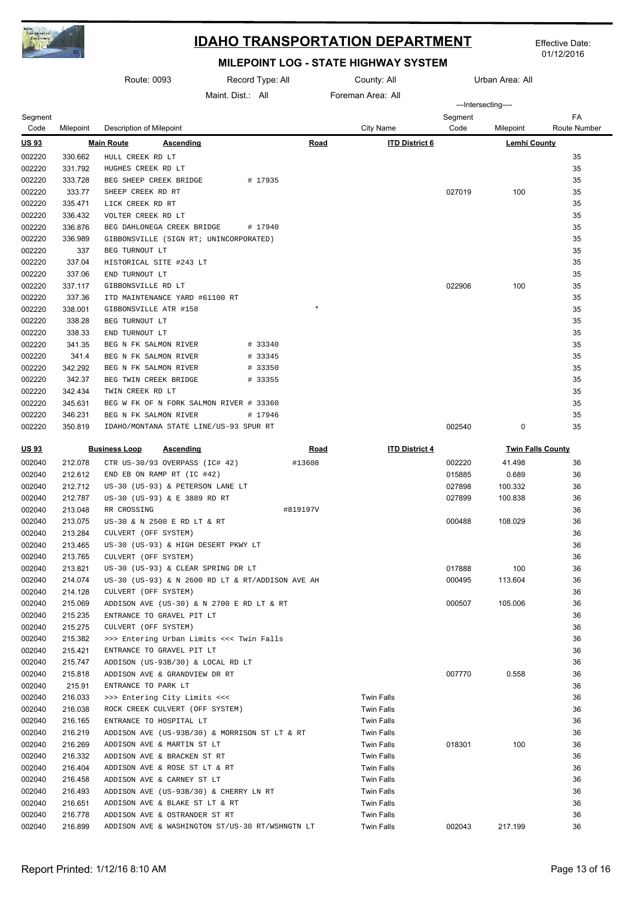

Effective Date: 01/12/2016

|                  |                    | Route: 0093                                                     |                 | Record Type: All |             | County: All                            |         | Urban Area: All          |              |
|------------------|--------------------|-----------------------------------------------------------------|-----------------|------------------|-------------|----------------------------------------|---------|--------------------------|--------------|
|                  |                    |                                                                 | Maint Dist: All |                  |             | Foreman Area: All                      |         |                          |              |
| Segment          |                    |                                                                 |                 |                  |             |                                        | Segment | ---Intersecting----      | FA           |
| Code             | Milepoint          | <b>Description of Milepoint</b>                                 |                 |                  |             | City Name                              | Code    | Milepoint                | Route Number |
| <u>US 93</u>     |                    | <b>Main Route</b><br>Ascending                                  |                 |                  | <b>Road</b> | <b>ITD District 6</b>                  |         | <b>Lemhi County</b>      |              |
| 002220           | 330.662            | HULL CREEK RD LT                                                |                 |                  |             |                                        |         |                          | 35           |
| 002220           | 331.792            | HUGHES CREEK RD LT                                              |                 |                  |             |                                        |         |                          | 35           |
| 002220           | 333.728            | BEG SHEEP CREEK BRIDGE                                          |                 | # 17935          |             |                                        |         |                          | 35           |
| 002220           | 333.77             | SHEEP CREEK RD RT                                               |                 |                  |             |                                        | 027019  | 100                      | 35           |
| 002220           | 335.471            | LICK CREEK RD RT                                                |                 |                  |             |                                        |         |                          | 35           |
| 002220           | 336.432            | VOLTER CREEK RD LT                                              |                 |                  |             |                                        |         |                          | 35           |
| 002220           | 336.876            | BEG DAHLONEGA CREEK BRIDGE                                      |                 | # 17940          |             |                                        |         |                          | 35           |
| 002220           | 336.989            | GIBBONSVILLE (SIGN RT; UNINCORPORATED)                          |                 |                  |             |                                        |         |                          | 35           |
| 002220           | 337                | BEG TURNOUT LT                                                  |                 |                  |             |                                        |         |                          | 35           |
| 002220           | 337.04             | HISTORICAL SITE #243 LT                                         |                 |                  |             |                                        |         |                          | 35           |
| 002220           | 337.06             | END TURNOUT LT                                                  |                 |                  |             |                                        |         |                          | 35           |
| 002220           | 337.117            | GIBBONSVILLE RD LT                                              |                 |                  |             |                                        | 022906  | 100                      | 35           |
| 002220<br>002220 | 337.36<br>338.001  | ITD MAINTENANCE YARD #61100 RT<br>GIBBONSVILLE ATR #158         |                 |                  | $\star$     |                                        |         |                          | 35<br>35     |
| 002220           | 338.28             | BEG TURNOUT LT                                                  |                 |                  |             |                                        |         |                          | 35           |
| 002220           | 338.33             | END TURNOUT LT                                                  |                 |                  |             |                                        |         |                          | 35           |
| 002220           | 341.35             | BEG N FK SALMON RIVER                                           |                 | # 33340          |             |                                        |         |                          | 35           |
| 002220           | 341.4              | BEG N FK SALMON RIVER                                           |                 | # 33345          |             |                                        |         |                          | 35           |
| 002220           | 342.292            | BEG N FK SALMON RIVER                                           |                 | # 33350          |             |                                        |         |                          | 35           |
| 002220           | 342.37             | BEG TWIN CREEK BRIDGE                                           |                 | # 33355          |             |                                        |         |                          | 35           |
| 002220           | 342.434            | TWIN CREEK RD LT                                                |                 |                  |             |                                        |         |                          | 35           |
| 002220           | 345.631            | BEG W FK OF N FORK SALMON RIVER # 33360                         |                 |                  |             |                                        |         |                          | 35           |
| 002220           | 346.231            | BEG N FK SALMON RIVER                                           |                 | # 17946          |             |                                        |         |                          | 35           |
| 002220           | 350.819            | IDAHO/MONTANA STATE LINE/US-93 SPUR RT                          |                 |                  |             |                                        | 002540  | 0                        | 35           |
|                  |                    |                                                                 |                 |                  |             |                                        |         |                          |              |
| <u>US 93</u>     |                    | <b>Business Loop</b><br><b>Ascending</b>                        |                 |                  | <u>Road</u> | <b>ITD District 4</b>                  |         | <b>Twin Falls County</b> |              |
| 002040           | 212.078            | CTR US-30/93 OVERPASS (IC# 42)                                  |                 |                  | #13608      |                                        | 002220  | 41.498                   | 36           |
| 002040           | 212.612            | END EB ON RAMP RT (IC #42)                                      |                 |                  |             |                                        | 015885  | 0.689                    | 36           |
| 002040           | 212.712            | US-30 (US-93) & PETERSON LANE LT                                |                 |                  |             |                                        | 027898  | 100.332                  | 36           |
| 002040           | 212.787            | US-30 (US-93) & E 3889 RD RT                                    |                 |                  |             |                                        | 027899  | 100.838                  | 36           |
| 002040           | 213.048            | RR CROSSING                                                     |                 |                  | #819197V    |                                        |         |                          | 36           |
| 002040           | 213.075            | US-30 & N 2500 E RD LT & RT                                     |                 |                  |             |                                        | 000488  | 108.029                  | 36           |
| 002040           | 213.284            | CULVERT (OFF SYSTEM)                                            |                 |                  |             |                                        |         |                          | 36           |
| 002040<br>002040 | 213.465<br>213.765 | US-30 (US-93) & HIGH DESERT PKWY LT                             |                 |                  |             |                                        |         |                          | 36<br>36     |
| 002040           | 213.821            | CULVERT (OFF SYSTEM)<br>US-30 (US-93) & CLEAR SPRING DR LT      |                 |                  |             |                                        | 017888  | 100                      | 36           |
| 002040           | 214.074            | US-30 (US-93) & N 2600 RD LT & RT/ADDISON AVE AH                |                 |                  |             |                                        | 000495  | 113.604                  | 36           |
| 002040           | 214.128            | CULVERT (OFF SYSTEM)                                            |                 |                  |             |                                        |         |                          | 36           |
| 002040           | 215.069            | ADDISON AVE (US-30) & N 2700 E RD LT & RT                       |                 |                  |             |                                        | 000507  | 105.006                  | 36           |
| 002040           | 215.235            | ENTRANCE TO GRAVEL PIT LT                                       |                 |                  |             |                                        |         |                          | 36           |
| 002040           | 215.275            | CULVERT (OFF SYSTEM)                                            |                 |                  |             |                                        |         |                          | 36           |
| 002040           | 215.382            | >>> Entering Urban Limits <<< Twin Falls                        |                 |                  |             |                                        |         |                          | 36           |
| 002040           | 215.421            | ENTRANCE TO GRAVEL PIT LT                                       |                 |                  |             |                                        |         |                          | 36           |
| 002040           | 215.747            | ADDISON (US-93B/30) & LOCAL RD LT                               |                 |                  |             |                                        |         |                          | 36           |
| 002040           | 215.818            | ADDISON AVE & GRANDVIEW DR RT                                   |                 |                  |             |                                        | 007770  | 0.558                    | 36           |
| 002040           | 215.91             | ENTRANCE TO PARK LT                                             |                 |                  |             |                                        |         |                          | 36           |
| 002040           | 216.033            | >>> Entering City Limits <<<                                    |                 |                  |             | <b>Twin Falls</b>                      |         |                          | 36           |
| 002040           | 216.038            | ROCK CREEK CULVERT (OFF SYSTEM)                                 |                 |                  |             | <b>Twin Falls</b>                      |         |                          | 36           |
| 002040           | 216.165            | ENTRANCE TO HOSPITAL LT                                         |                 |                  |             | Twin Falls                             |         |                          | 36           |
| 002040           | 216.219            | ADDISON AVE (US-93B/30) & MORRISON ST LT & RT                   |                 |                  |             | <b>Twin Falls</b>                      |         |                          | 36           |
| 002040           | 216.269            | ADDISON AVE & MARTIN ST LT                                      |                 |                  |             | <b>Twin Falls</b>                      | 018301  | 100                      | 36           |
| 002040           | 216.332            | ADDISON AVE & BRACKEN ST RT                                     |                 |                  |             | <b>Twin Falls</b>                      |         |                          | 36           |
| 002040           | 216.404            | ADDISON AVE & ROSE ST LT & RT                                   |                 |                  |             | <b>Twin Falls</b>                      |         |                          | 36           |
| 002040           | 216.458            | ADDISON AVE & CARNEY ST LT                                      |                 |                  |             | <b>Twin Falls</b>                      |         |                          | 36           |
| 002040           | 216.493            | ADDISON AVE (US-93B/30) & CHERRY LN RT                          |                 |                  |             | Twin Falls                             |         |                          | 36<br>36     |
| 002040<br>002040 | 216.651<br>216.778 | ADDISON AVE & BLAKE ST LT & RT<br>ADDISON AVE & OSTRANDER ST RT |                 |                  |             | <b>Twin Falls</b><br><b>Twin Falls</b> |         |                          | 36           |
| 002040           | 216.899            | ADDISON AVE & WASHINGTON ST/US-30 RT/WSHNGTN LT                 |                 |                  |             | <b>Twin Falls</b>                      | 002043  | 217.199                  | 36           |
|                  |                    |                                                                 |                 |                  |             |                                        |         |                          |              |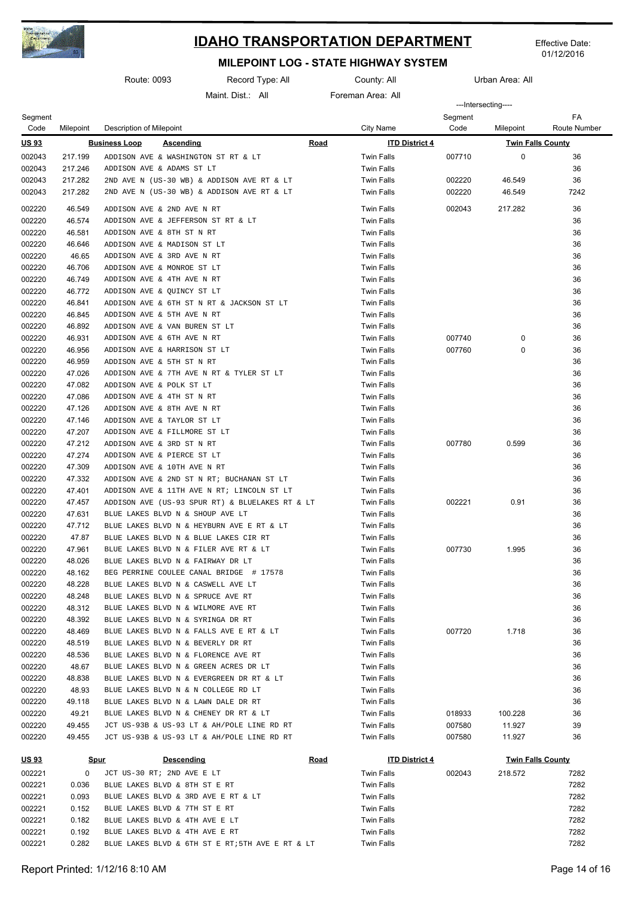

Effective Date: 01/12/2016

|                 |                  | Route: 0093                              | Record Type: All                                |             | County: All           |                 | Urban Area: All          |                           |
|-----------------|------------------|------------------------------------------|-------------------------------------------------|-------------|-----------------------|-----------------|--------------------------|---------------------------|
|                 |                  |                                          | Maint. Dist.: All                               |             | Foreman Area: All     |                 |                          |                           |
|                 |                  |                                          |                                                 |             |                       |                 | ---Intersecting----      |                           |
| Segment<br>Code | Milepoint        | Description of Milepoint                 |                                                 |             | City Name             | Segment<br>Code | Milepoint                | FA<br><b>Route Number</b> |
| <u>US 93</u>    |                  | <b>Business Loop</b><br><b>Ascending</b> |                                                 | <b>Road</b> | <b>ITD District 4</b> |                 | <b>Twin Falls County</b> |                           |
| 002043          | 217.199          | ADDISON AVE & WASHINGTON ST RT & LT      |                                                 |             | <b>Twin Falls</b>     | 007710          | 0                        | 36                        |
| 002043          | 217.246          | ADDISON AVE & ADAMS ST LT                |                                                 |             | <b>Twin Falls</b>     |                 |                          | 36                        |
| 002043          | 217.282          |                                          | 2ND AVE N (US-30 WB) & ADDISON AVE RT & LT      |             | <b>Twin Falls</b>     | 002220          | 46.549                   | 36                        |
| 002043          | 217.282          |                                          | 2ND AVE N (US-30 WB) & ADDISON AVE RT & LT      |             | <b>Twin Falls</b>     | 002220          | 46.549                   | 7242                      |
| 002220          | 46.549           | ADDISON AVE & 2ND AVE N RT               |                                                 |             | <b>Twin Falls</b>     | 002043          | 217.282                  | 36                        |
| 002220          | 46.574           | ADDISON AVE & JEFFERSON ST RT & LT       |                                                 |             | <b>Twin Falls</b>     |                 |                          | 36                        |
| 002220          | 46.581           | ADDISON AVE & 8TH ST N RT                |                                                 |             | <b>Twin Falls</b>     |                 |                          | 36                        |
| 002220          | 46.646           | ADDISON AVE & MADISON ST LT              |                                                 |             | <b>Twin Falls</b>     |                 |                          | 36                        |
| 002220          | 46.65            | ADDISON AVE & 3RD AVE N RT               |                                                 |             | <b>Twin Falls</b>     |                 |                          | 36                        |
| 002220          | 46.706           | ADDISON AVE & MONROE ST LT               |                                                 |             | <b>Twin Falls</b>     |                 |                          | 36                        |
| 002220          | 46.749           | ADDISON AVE & 4TH AVE N RT               |                                                 |             | <b>Twin Falls</b>     |                 |                          | 36                        |
| 002220          | 46.772           | ADDISON AVE & QUINCY ST LT               |                                                 |             | <b>Twin Falls</b>     |                 |                          | 36                        |
| 002220          | 46.841           |                                          | ADDISON AVE & 6TH ST N RT & JACKSON ST LT       |             | <b>Twin Falls</b>     |                 |                          | 36                        |
| 002220          | 46.845           | ADDISON AVE & 5TH AVE N RT               |                                                 |             | <b>Twin Falls</b>     |                 |                          | 36                        |
| 002220          | 46.892           | ADDISON AVE & VAN BUREN ST LT            |                                                 |             | <b>Twin Falls</b>     |                 |                          | 36                        |
| 002220          | 46.931           | ADDISON AVE & 6TH AVE N RT               |                                                 |             | <b>Twin Falls</b>     | 007740          | $\mathbf 0$              | 36                        |
| 002220          | 46.956           | ADDISON AVE & HARRISON ST LT             |                                                 |             | <b>Twin Falls</b>     | 007760          | $\mathbf 0$              | 36                        |
| 002220          | 46.959           | ADDISON AVE & 5TH ST N RT                |                                                 |             | <b>Twin Falls</b>     |                 |                          | 36                        |
| 002220          | 47.026           |                                          | ADDISON AVE & 7TH AVE N RT & TYLER ST LT        |             | <b>Twin Falls</b>     |                 |                          | 36                        |
| 002220          | 47.082           | ADDISON AVE & POLK ST LT                 |                                                 |             | <b>Twin Falls</b>     |                 |                          | 36                        |
| 002220          | 47.086           | ADDISON AVE & 4TH ST N RT                |                                                 |             | <b>Twin Falls</b>     |                 |                          | 36                        |
| 002220          | 47.126           | ADDISON AVE & 8TH AVE N RT               |                                                 |             | <b>Twin Falls</b>     |                 |                          | 36                        |
| 002220          | 47.146           | ADDISON AVE & TAYLOR ST LT               |                                                 |             | <b>Twin Falls</b>     |                 |                          | 36                        |
| 002220          | 47.207           | ADDISON AVE & FILLMORE ST LT             |                                                 |             | <b>Twin Falls</b>     |                 |                          | 36                        |
|                 |                  |                                          |                                                 |             |                       |                 | 0.599                    |                           |
| 002220          | 47.212           | ADDISON AVE & 3RD ST N RT                |                                                 |             | <b>Twin Falls</b>     | 007780          |                          | 36                        |
| 002220          | 47.274<br>47.309 | ADDISON AVE & PIERCE ST LT               |                                                 |             | <b>Twin Falls</b>     |                 |                          | 36                        |
| 002220          |                  | ADDISON AVE & 10TH AVE N RT              |                                                 |             | <b>Twin Falls</b>     |                 |                          | 36                        |
| 002220          | 47.332           |                                          | ADDISON AVE & 2ND ST N RT; BUCHANAN ST LT       |             | <b>Twin Falls</b>     |                 |                          | 36                        |
| 002220          | 47.401           |                                          | ADDISON AVE & 11TH AVE N RT; LINCOLN ST LT      |             | <b>Twin Falls</b>     |                 |                          | 36                        |
| 002220          | 47.457           |                                          | ADDISON AVE (US-93 SPUR RT) & BLUELAKES RT & LT |             | <b>Twin Falls</b>     | 002221          | 0.91                     | 36                        |
| 002220          | 47.631           | BLUE LAKES BLVD N & SHOUP AVE LT         |                                                 |             | <b>Twin Falls</b>     |                 |                          | 36                        |
| 002220          | 47.712           |                                          | BLUE LAKES BLVD N & HEYBURN AVE E RT & LT       |             | <b>Twin Falls</b>     |                 |                          | 36                        |
| 002220          | 47.87            | BLUE LAKES BLVD N & BLUE LAKES CIR RT    |                                                 |             | <b>Twin Falls</b>     |                 |                          | 36                        |
| 002220          | 47.961           | BLUE LAKES BLVD N & FILER AVE RT & LT    |                                                 |             | <b>Twin Falls</b>     | 007730          | 1.995                    | 36                        |
| 002220          | 48.026           | BLUE LAKES BLVD N & FAIRWAY DR LT        |                                                 |             | <b>Twin Falls</b>     |                 |                          | 36                        |
| 002220          | 48.162           |                                          | BEG PERRINE COULEE CANAL BRIDGE # 17578         |             | <b>Twin Falls</b>     |                 |                          | 36                        |
| 002220          | 48.228           | BLUE LAKES BLVD N & CASWELL AVE LT       |                                                 |             | <b>Twin Falls</b>     |                 |                          | 36                        |
| 002220          | 48.248           | BLUE LAKES BLVD N & SPRUCE AVE RT        |                                                 |             | <b>Twin Falls</b>     |                 |                          | 36                        |
| 002220          | 48.312           | BLUE LAKES BLVD N & WILMORE AVE RT       |                                                 |             | <b>Twin Falls</b>     |                 |                          | 36                        |
| 002220          | 48.392           | BLUE LAKES BLVD N & SYRINGA DR RT        |                                                 |             | <b>Twin Falls</b>     |                 |                          | 36                        |
| 002220          | 48.469           | BLUE LAKES BLVD N & FALLS AVE E RT & LT  |                                                 |             | <b>Twin Falls</b>     | 007720          | 1.718                    | 36                        |
| 002220          | 48.519           | BLUE LAKES BLVD N & BEVERLY DR RT        |                                                 |             | <b>Twin Falls</b>     |                 |                          | 36                        |
| 002220          | 48.536           | BLUE LAKES BLVD N & FLORENCE AVE RT      |                                                 |             | <b>Twin Falls</b>     |                 |                          | 36                        |
| 002220          | 48.67            | BLUE LAKES BLVD N & GREEN ACRES DR LT    |                                                 |             | <b>Twin Falls</b>     |                 |                          | 36                        |
| 002220          | 48.838           |                                          | BLUE LAKES BLVD N & EVERGREEN DR RT & LT        |             | <b>Twin Falls</b>     |                 |                          | 36                        |
| 002220          | 48.93            | BLUE LAKES BLVD N & N COLLEGE RD LT      |                                                 |             | <b>Twin Falls</b>     |                 |                          | 36                        |
| 002220          | 49.118           | BLUE LAKES BLVD N & LAWN DALE DR RT      |                                                 |             | <b>Twin Falls</b>     |                 |                          | 36                        |
| 002220          | 49.21            | BLUE LAKES BLVD N & CHENEY DR RT & LT    |                                                 |             | <b>Twin Falls</b>     | 018933          | 100.228                  | 36                        |
| 002220          | 49.455           |                                          | JCT US-93B & US-93 LT & AH/POLE LINE RD RT      |             | <b>Twin Falls</b>     | 007580          | 11.927                   | 39                        |
| 002220          | 49.455           |                                          | JCT US-93B & US-93 LT & AH/POLE LINE RD RT      |             | <b>Twin Falls</b>     | 007580          | 11.927                   | 36                        |

| <u>US 93</u> |       | <b>Spur</b>                | Descending |                                                  | Road | <b>ITD District 4</b> |        | <b>Twin Falls County</b> |      |
|--------------|-------|----------------------------|------------|--------------------------------------------------|------|-----------------------|--------|--------------------------|------|
| 002221       |       | JCT US-30 RT; 2ND AVE E LT |            |                                                  |      | Twin Falls            | 002043 | 218.572                  | 7282 |
| 002221       | 0.036 |                            |            | BLUE LAKES BLVD & 8TH ST E RT                    |      | <b>Twin Falls</b>     |        |                          | 7282 |
| 002221       | 0.093 |                            |            | BLUE LAKES BLVD & 3RD AVE E RT & LT              |      | <b>Twin Falls</b>     |        |                          | 7282 |
| 002221       | 0.152 |                            |            | BLUE LAKES BLVD & 7TH ST E RT                    |      | <b>Twin Falls</b>     |        |                          | 7282 |
| 002221       | 0.182 |                            |            | BLUE LAKES BLVD & 4TH AVE E LT                   |      | <b>Twin Falls</b>     |        |                          | 7282 |
| 002221       | 0.192 |                            |            | BLUE LAKES BLVD & 4TH AVE E RT                   |      | Twin Falls            |        |                          | 7282 |
| 002221       | 0.282 |                            |            | BLUE LAKES BLVD & 6TH ST E RT; 5TH AVE E RT & LT |      | Twin Falls            |        |                          | 7282 |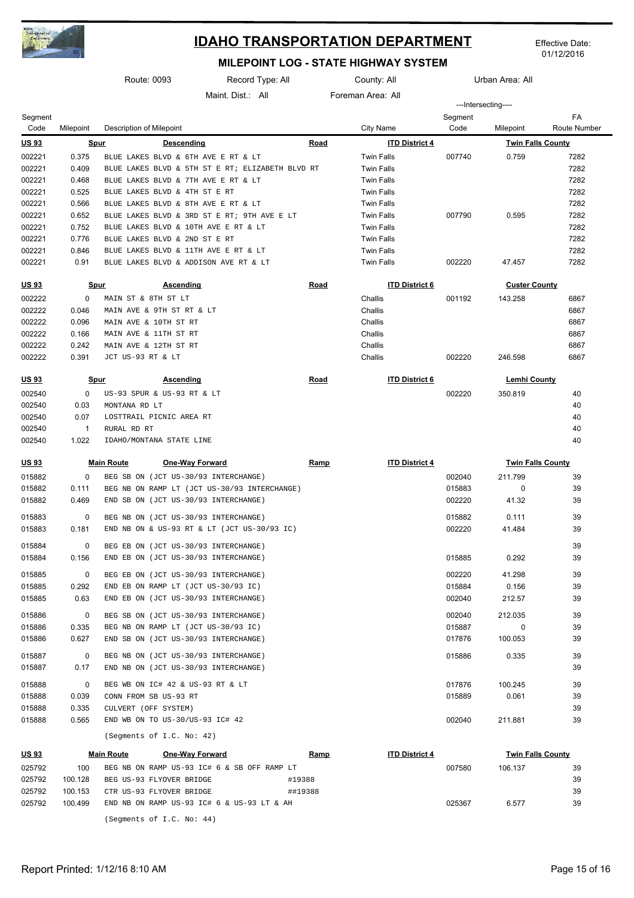

Effective Date: 01/12/2016

|                  |                | Route: 0093                | Record Type: All                                 |             | County: All           |                 | Urban Area: All          |                    |
|------------------|----------------|----------------------------|--------------------------------------------------|-------------|-----------------------|-----------------|--------------------------|--------------------|
|                  |                |                            | Maint. Dist.: All                                |             | Foreman Area: All     |                 |                          |                    |
|                  |                |                            |                                                  |             |                       |                 | ---Intersecting----      |                    |
| Segment<br>Code  | Milepoint      | Description of Milepoint   |                                                  |             | <b>City Name</b>      | Segment<br>Code | Milepoint                | FA<br>Route Number |
| US 93            |                | <b>Spur</b>                | <b>Descending</b>                                | <b>Road</b> | <b>ITD District 4</b> |                 | <b>Twin Falls County</b> |                    |
| 002221           | 0.375          |                            | BLUE LAKES BLVD & 6TH AVE E RT & LT              |             | <b>Twin Falls</b>     | 007740          | 0.759                    | 7282               |
| 002221           | 0.409          |                            | BLUE LAKES BLVD & 5TH ST E RT; ELIZABETH BLVD RT |             | <b>Twin Falls</b>     |                 |                          | 7282               |
| 002221           | 0.468          |                            | BLUE LAKES BLVD & 7TH AVE E RT & LT              |             | <b>Twin Falls</b>     |                 |                          | 7282               |
| 002221           | 0.525          |                            | BLUE LAKES BLVD & 4TH ST E RT                    |             | <b>Twin Falls</b>     |                 |                          | 7282               |
| 002221           | 0.566          |                            | BLUE LAKES BLVD & 8TH AVE E RT & LT              |             | <b>Twin Falls</b>     |                 |                          | 7282               |
| 002221           | 0.652          |                            | BLUE LAKES BLVD & 3RD ST E RT; 9TH AVE E LT      |             | <b>Twin Falls</b>     | 007790          | 0.595                    | 7282               |
| 002221           | 0.752          |                            | BLUE LAKES BLVD & 10TH AVE E RT & LT             |             | <b>Twin Falls</b>     |                 |                          | 7282               |
| 002221           | 0.776          |                            | BLUE LAKES BLVD & 2ND ST E RT                    |             | <b>Twin Falls</b>     |                 |                          | 7282               |
| 002221           | 0.846          |                            | BLUE LAKES BLVD & 11TH AVE E RT & LT             |             | <b>Twin Falls</b>     |                 |                          | 7282               |
| 002221           | 0.91           |                            | BLUE LAKES BLVD & ADDISON AVE RT & LT            |             | <b>Twin Falls</b>     | 002220          | 47.457                   | 7282               |
| <u>US 93</u>     |                | <b>Spur</b>                | <b>Ascending</b>                                 | Road        | <b>ITD District 6</b> |                 | <b>Custer County</b>     |                    |
| 002222           | 0              | MAIN ST & 8TH ST LT        |                                                  |             | Challis               | 001192          | 143.258                  | 6867               |
| 002222           | 0.046          | MAIN AVE & 9TH ST RT & LT  |                                                  |             | Challis               |                 |                          | 6867               |
| 002222           | 0.096          | MAIN AVE & 10TH ST RT      |                                                  |             | Challis               |                 |                          | 6867               |
| 002222           | 0.166          | MAIN AVE & 11TH ST RT      |                                                  |             | Challis               |                 |                          | 6867               |
| 002222           | 0.242          | MAIN AVE & 12TH ST RT      |                                                  |             | Challis               |                 |                          | 6867               |
| 002222           | 0.391          | JCT US-93 RT & LT          |                                                  |             | Challis               | 002220          | 246.598                  | 6867               |
| <u>US 93</u>     |                | <b>Spur</b>                | <b>Ascending</b>                                 | <b>Road</b> | <b>ITD District 6</b> |                 | <b>Lemhi County</b>      |                    |
| 002540           | 0              | US-93 SPUR & US-93 RT & LT |                                                  |             |                       | 002220          | 350.819                  | 40                 |
| 002540           | 0.03           | MONTANA RD LT              |                                                  |             |                       |                 |                          | 40                 |
| 002540           | 0.07           | LOSTTRAIL PICNIC AREA RT   |                                                  |             |                       |                 |                          | 40                 |
| 002540           | $\mathbf{1}$   | RURAL RD RT                |                                                  |             |                       |                 |                          | 40                 |
| 002540           | 1.022          | IDAHO/MONTANA STATE LINE   |                                                  |             |                       |                 |                          | 40                 |
| <u>US 93</u>     |                | <b>Main Route</b>          | <b>One-Way Forward</b>                           | <u>Ramp</u> | <b>ITD District 4</b> |                 | <b>Twin Falls County</b> |                    |
| 015882           | $\mathbf 0$    |                            | BEG SB ON (JCT US-30/93 INTERCHANGE)             |             |                       | 002040          | 211.799                  | 39                 |
| 015882           | 0.111          |                            | BEG NB ON RAMP LT (JCT US-30/93 INTERCHANGE)     |             |                       | 015883          | $\mathbf 0$              | 39                 |
| 015882           | 0.469          |                            | END SB ON (JCT US-30/93 INTERCHANGE)             |             |                       | 002220          | 41.32                    | 39                 |
| 015883           | $\mathbf 0$    |                            | BEG NB ON (JCT US-30/93 INTERCHANGE)             |             |                       | 015882          | 0.111                    | 39                 |
| 015883           | 0.181          |                            | END NB ON & US-93 RT & LT (JCT US-30/93 IC)      |             |                       | 002220          | 41.484                   | 39                 |
| 015884           | $\mathbf 0$    |                            | BEG EB ON (JCT US-30/93 INTERCHANGE)             |             |                       |                 |                          | 39                 |
| 015884           | 0.156          |                            | END EB ON (JCT US-30/93 INTERCHANGE)             |             |                       | 015885          | 0.292                    | 39                 |
| 015885           | $\mathbf 0$    |                            | BEG EB ON (JCT US-30/93 INTERCHANGE)             |             |                       | 002220          | 41.298                   | 39                 |
| 015885           | 0.292          |                            | END EB ON RAMP LT (JCT US-30/93 IC)              |             |                       | 015884          | 0.156                    | 39                 |
| 015885           | 0.63           |                            | END EB ON (JCT US-30/93 INTERCHANGE)             |             |                       | 002040          | 212.57                   | 39                 |
| 015886           | 0              |                            | BEG SB ON (JCT US-30/93 INTERCHANGE)             |             |                       | 002040          | 212.035                  | 39                 |
| 015886           | 0.335          |                            | BEG NB ON RAMP LT (JCT US-30/93 IC)              |             |                       | 015887          | 0                        | 39                 |
| 015886           | 0.627          |                            | END SB ON (JCT US-30/93 INTERCHANGE)             |             |                       | 017876          | 100.053                  | 39                 |
| 015887           | 0              |                            | BEG NB ON (JCT US-30/93 INTERCHANGE)             |             |                       | 015886          | 0.335                    | 39                 |
| 015887           | 0.17           |                            | END NB ON (JCT US-30/93 INTERCHANGE)             |             |                       |                 |                          | 39                 |
| 015888           | 0              |                            | BEG WB ON IC# 42 & US-93 RT & LT                 |             |                       | 017876          | 100.245                  | 39                 |
| 015888           | 0.039          | CONN FROM SB US-93 RT      |                                                  |             |                       | 015889          | 0.061                    | 39                 |
| 015888<br>015888 | 0.335<br>0.565 | CULVERT (OFF SYSTEM)       | END WB ON TO US-30/US-93 IC# 42                  |             |                       | 002040          | 211.881                  | 39<br>39           |
|                  |                | (Segments of I.C. No: 42)  |                                                  |             |                       |                 |                          |                    |
| <u>US 93</u>     |                | <b>Main Route</b>          | <b>One-Way Forward</b>                           | <b>Ramp</b> | <b>ITD District 4</b> |                 | <b>Twin Falls County</b> |                    |
|                  |                |                            |                                                  |             |                       |                 |                          |                    |

| <b>US 93</b> |         | <b>Main Route</b> | <b>One-Wav Forward</b>                      | Ramp    | <b>ITD District 4</b> |        | <b>Twin Falls County</b> |    |
|--------------|---------|-------------------|---------------------------------------------|---------|-----------------------|--------|--------------------------|----|
| 025792       | 100     |                   | BEG NB ON RAMP US-93 IC# 6 & SB OFF RAMP LT |         |                       | 007580 | 106.137                  | 39 |
| 025792       | 100.128 |                   | BEG US-93 FLYOVER BRIDGE                    | #19388  |                       |        |                          | 39 |
| 025792       | 100.153 |                   | CTR US-93 FLYOVER BRIDGE                    | ##19388 |                       |        |                          | 39 |
| 025792       | 100.499 |                   | END NB ON RAMP US-93 IC# 6 & US-93 LT & AH  |         |                       | 025367 | 6.577                    | 39 |
|              |         |                   | (Seqments of I.C. No: 44)                   |         |                       |        |                          |    |